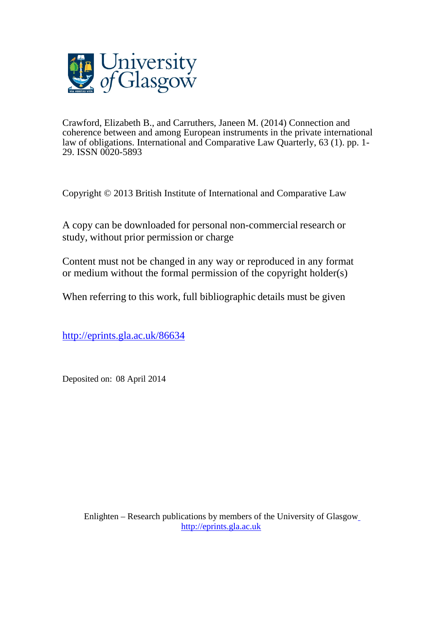

Crawford, Elizabeth B., and Carruthers, Janeen M. (2014) Connection and coherence between and among European instruments in the private international law of obligations. International and Comparative Law Quarterly, 63 (1). pp. 1- 29. ISSN 0020-5893

Copyright © 2013 British Institute of International and Comparative Law

A copy can be downloaded for personal non-commercial research or study, without prior permission or charge

Content must not be changed in any way or reproduced in any format or medium without the formal permission of the copyright holder(s)

When referring to this work, full bibliographic details must be given

<http://eprints.gla.ac.uk/86634>

Deposited on: 08 April 2014

Enlighten – Research publications by members of the University of Glasgo[w](http://eprints.gla.ac.uk/) [http://eprints.gla.ac.uk](http://eprints.gla.ac.uk/)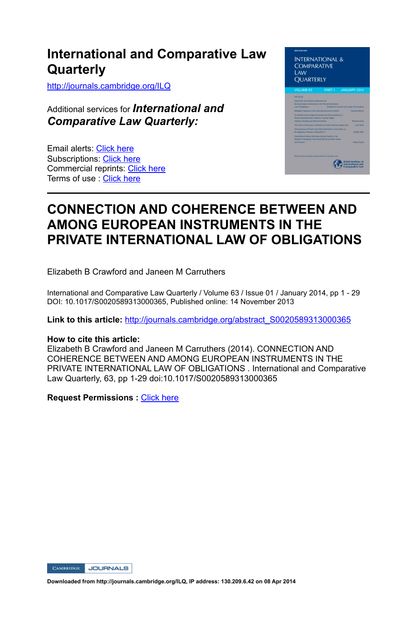http://journals.cambridge.org/ILQ

Additional services for *International and Comparative Law Quarterly:*

Email alerts: Click here Subscriptions: Click here Commercial reprints: Click here Terms of use : Click here



# **CONNECTION AND COHERENCE BETWEEN AND AMONG EUROPEAN INSTRUMENTS IN THE PRIVATE INTERNATIONAL LAW OF OBLIGATIONS**

Elizabeth B Crawford and Janeen M Carruthers

International and Comparative Law Quarterly / Volume 63 / Issue 01 / January 2014, pp 1 - 29 DOI: 10.1017/S0020589313000365, Published online: 14 November 2013

**Link to this article:** http://journals.cambridge.org/abstract\_S0020589313000365

# **How to cite this article:**

Elizabeth B Crawford and Janeen M Carruthers (2014). CONNECTION AND COHERENCE BETWEEN AND AMONG EUROPEAN INSTRUMENTS IN THE PRIVATE INTERNATIONAL LAW OF OBLIGATIONS . International and Comparative Law Quarterly, 63, pp 1-29 doi:10.1017/S0020589313000365

**Request Permissions :** Click here

CAMBRIDGE JOURNALS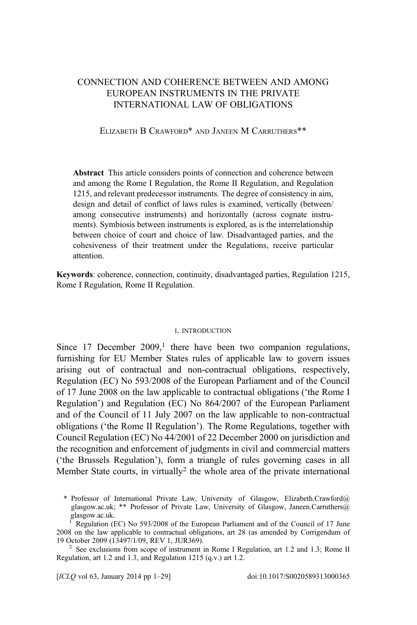# CONNECTION AND COHERENCE BETWEEN AND AMONG EUROPEAN INSTRUMENTS IN THE PRIVATE INTERNATIONAL LAW OF OBLIGATIONS

#### ELIZABETH B CRAWFORD\* AND JANEEN M CARRUTHERS\*\*

Abstract This article considers points of connection and coherence between and among the Rome I Regulation, the Rome II Regulation, and Regulation 1215, and relevant predecessor instruments. The degree of consistency in aim, design and detail of conflict of laws rules is examined, vertically (between/ among consecutive instruments) and horizontally (across cognate instruments). Symbiosis between instruments is explored, as is the interrelationship between choice of court and choice of law. Disadvantaged parties, and the cohesiveness of their treatment under the Regulations, receive particular attention.

Keywords: coherence, connection, continuity, disadvantaged parties, Regulation 1215, Rome I Regulation, Rome II Regulation.

#### I. INTRODUCTION

Since 17 December  $2009$ ,<sup>1</sup> there have been two companion regulations, furnishing for EU Member States rules of applicable law to govern issues arising out of contractual and non-contractual obligations, respectively, Regulation (EC) No 593/2008 of the European Parliament and of the Council of 17 June 2008 on the law applicable to contractual obligations ('the Rome I Regulation') and Regulation (EC) No 864/2007 of the European Parliament and of the Council of 11 July 2007 on the law applicable to non-contractual obligations ('the Rome II Regulation'). The Rome Regulations, together with Council Regulation (EC) No 44/2001 of 22 December 2000 on jurisdiction and the recognition and enforcement of judgments in civil and commercial matters ('the Brussels Regulation'), form a triangle of rules governing cases in all Member State courts, in virtually<sup>2</sup> the whole area of the private international

[ICLQ vol 63, January 2014 pp 1–29] doi:10.1017/S0020589313000365

<sup>\*</sup> Professor of International Private Law, University of Glasgow, Elizabeth.Crawford@ glasgow.ac.uk; \*\* Professor of Private Law, University of Glasgow, Janeen.Carruthers@ glasgow.ac.uk.

<sup>1</sup> Regulation (EC) No 593/2008 of the European Parliament and of the Council of 17 June 2008 on the law applicable to contractual obligations, art 28 (as amended by Corrigendum of

<sup>&</sup>lt;sup>2</sup> See exclusions from scope of instrument in Rome I Regulation, art 1.2 and 1.3; Rome II Regulation, art 1.2 and 1.3, and Regulation 1215 (q.v.) art 1.2.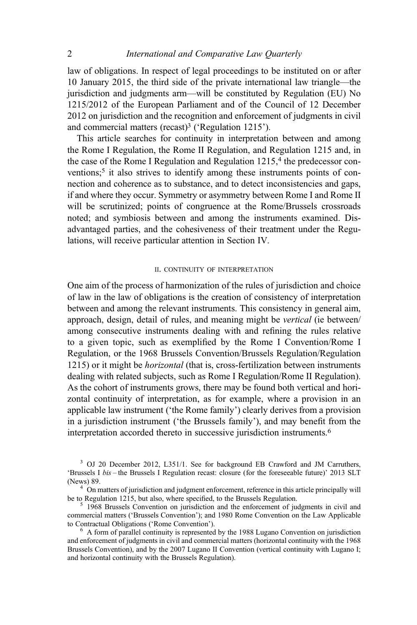law of obligations. In respect of legal proceedings to be instituted on or after 10 January 2015, the third side of the private international law triangle—the jurisdiction and judgments arm—will be constituted by Regulation (EU) No 1215/2012 of the European Parliament and of the Council of 12 December 2012 on jurisdiction and the recognition and enforcement of judgments in civil and commercial matters (recast) $3$  ('Regulation 1215').

This article searches for continuity in interpretation between and among the Rome I Regulation, the Rome II Regulation, and Regulation 1215 and, in the case of the Rome I Regulation and Regulation  $1215<sup>4</sup>$ , the predecessor conventions;<sup>5</sup> it also strives to identify among these instruments points of connection and coherence as to substance, and to detect inconsistencies and gaps, if and where they occur. Symmetry or asymmetry between Rome I and Rome II will be scrutinized; points of congruence at the Rome/Brussels crossroads noted; and symbiosis between and among the instruments examined. Disadvantaged parties, and the cohesiveness of their treatment under the Regulations, will receive particular attention in Section IV.

#### II. CONTINUITY OF INTERPRETATION

One aim of the process of harmonization of the rules of jurisdiction and choice of law in the law of obligations is the creation of consistency of interpretation between and among the relevant instruments. This consistency in general aim, approach, design, detail of rules, and meaning might be vertical (ie between/ among consecutive instruments dealing with and refining the rules relative to a given topic, such as exemplified by the Rome I Convention/Rome I Regulation, or the 1968 Brussels Convention/Brussels Regulation/Regulation 1215) or it might be horizontal (that is, cross-fertilization between instruments dealing with related subjects, such as Rome I Regulation/Rome II Regulation). As the cohort of instruments grows, there may be found both vertical and horizontal continuity of interpretation, as for example, where a provision in an applicable law instrument ('the Rome family') clearly derives from a provision in a jurisdiction instrument ('the Brussels family'), and may benefit from the interpretation accorded thereto in successive jurisdiction instruments.6

<sup>&</sup>lt;sup>3</sup> OJ 20 December 2012, L351/1. See for background EB Crawford and JM Carruthers, 'Brussels I bis – the Brussels I Regulation recast: closure (for the foreseeable future)' 2013 SLT

<sup>(</sup>News) 89.<br><sup>4</sup> On matters of jurisdiction and judgment enforcement, reference in this article principally will<br>be to Regulation 1215, but also, where specified, to the Brussels Regulation.

 $5$  1968 Brussels Convention on jurisdiction and the enforcement of judgments in civil and commercial matters ('Brussels Convention'); and 1980 Rome Convention on the Law Applicable

 $<sup>6</sup>$  A form of parallel continuity is represented by the 1988 Lugano Convention on jurisdiction</sup> and enforcement of judgments in civil and commercial matters (horizontal continuity with the 1968 Brussels Convention), and by the 2007 Lugano II Convention (vertical continuity with Lugano I; and horizontal continuity with the Brussels Regulation).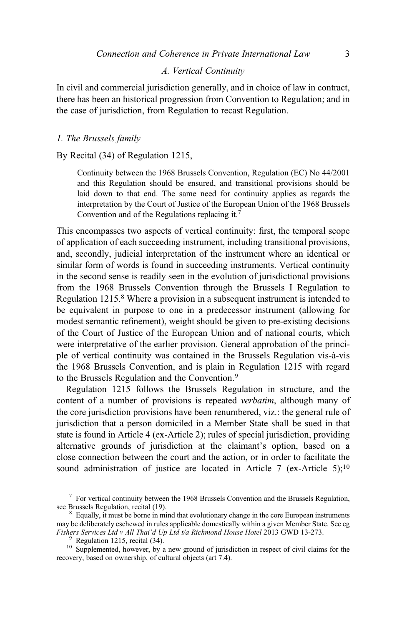#### A. Vertical Continuity

In civil and commercial jurisdiction generally, and in choice of law in contract, there has been an historical progression from Convention to Regulation; and in the case of jurisdiction, from Regulation to recast Regulation.

## 1. The Brussels family

By Recital (34) of Regulation 1215,

Continuity between the 1968 Brussels Convention, Regulation (EC) No 44/2001 and this Regulation should be ensured, and transitional provisions should be laid down to that end. The same need for continuity applies as regards the interpretation by the Court of Justice of the European Union of the 1968 Brussels Convention and of the Regulations replacing it.7

This encompasses two aspects of vertical continuity: first, the temporal scope of application of each succeeding instrument, including transitional provisions, and, secondly, judicial interpretation of the instrument where an identical or similar form of words is found in succeeding instruments. Vertical continuity in the second sense is readily seen in the evolution of jurisdictional provisions from the 1968 Brussels Convention through the Brussels I Regulation to Regulation 1215.<sup>8</sup> Where a provision in a subsequent instrument is intended to be equivalent in purpose to one in a predecessor instrument (allowing for modest semantic refinement), weight should be given to pre-existing decisions of the Court of Justice of the European Union and of national courts, which were interpretative of the earlier provision. General approbation of the principle of vertical continuity was contained in the Brussels Regulation vis-à-vis the 1968 Brussels Convention, and is plain in Regulation 1215 with regard to the Brussels Regulation and the Convention.<sup>9</sup>

Regulation 1215 follows the Brussels Regulation in structure, and the content of a number of provisions is repeated verbatim, although many of the core jurisdiction provisions have been renumbered, viz.: the general rule of jurisdiction that a person domiciled in a Member State shall be sued in that state is found in Article 4 (ex-Article 2); rules of special jurisdiction, providing alternative grounds of jurisdiction at the claimant's option, based on a close connection between the court and the action, or in order to facilitate the sound administration of justice are located in Article  $7$  (ex-Article  $5)$ ;<sup>10</sup>)

 $<sup>7</sup>$  For vertical continuity between the 1968 Brussels Convention and the Brussels Regulation, see Brussels Regulation, recital (19).</sup>

 $8$  Equally, it must be borne in mind that evolutionary change in the core European instruments may be deliberately eschewed in rules applicable domestically within a given Member State. See eg Fishers Services Ltd v All Thai'd Up Ltd t/a Richmond House Hotel 2013 GWD 13-273.

<sup>&</sup>lt;sup>9</sup> Regulation 1215, recital (34).<br><sup>10</sup> Supplemented, however, by a new ground of jurisdiction in respect of civil claims for the recovery, based on ownership, of cultural objects (art 7.4).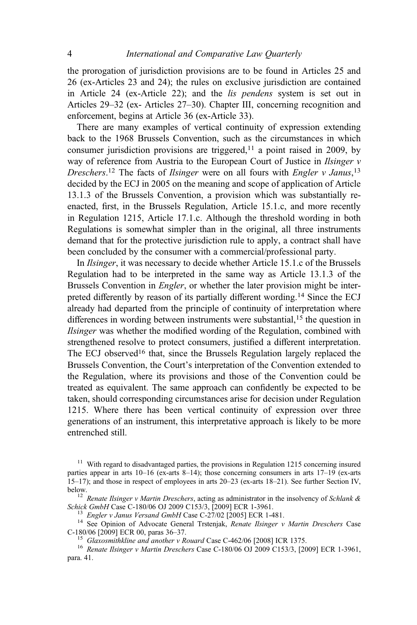the prorogation of jurisdiction provisions are to be found in Articles 25 and 26 (ex-Articles 23 and 24); the rules on exclusive jurisdiction are contained in Article 24 (ex-Article 22); and the lis pendens system is set out in Articles 29–32 (ex- Articles 27–30). Chapter III, concerning recognition and enforcement, begins at Article 36 (ex-Article 33).

There are many examples of vertical continuity of expression extending back to the 1968 Brussels Convention, such as the circumstances in which consumer jurisdiction provisions are triggered, $11$  a point raised in 2009, by way of reference from Austria to the European Court of Justice in *Ilsinger* v Dreschers.<sup>12</sup> The facts of *Ilsinger* were on all fours with *Engler v Janus*,<sup>13</sup> decided by the ECJ in 2005 on the meaning and scope of application of Article 13.1.3 of the Brussels Convention, a provision which was substantially reenacted, first, in the Brussels Regulation, Article 15.1.c, and more recently in Regulation 1215, Article 17.1.c. Although the threshold wording in both Regulations is somewhat simpler than in the original, all three instruments demand that for the protective jurisdiction rule to apply, a contract shall have been concluded by the consumer with a commercial/professional party.

In Ilsinger, it was necessary to decide whether Article 15.1.c of the Brussels Regulation had to be interpreted in the same way as Article 13.1.3 of the Brussels Convention in Engler, or whether the later provision might be interpreted differently by reason of its partially different wording.<sup>14</sup> Since the ECJ already had departed from the principle of continuity of interpretation where differences in wording between instruments were substantial,<sup>15</sup> the question in Ilsinger was whether the modified wording of the Regulation, combined with strengthened resolve to protect consumers, justified a different interpretation. The ECJ observed<sup>16</sup> that, since the Brussels Regulation largely replaced the Brussels Convention, the Court's interpretation of the Convention extended to the Regulation, where its provisions and those of the Convention could be treated as equivalent. The same approach can confidently be expected to be taken, should corresponding circumstances arise for decision under Regulation 1215. Where there has been vertical continuity of expression over three generations of an instrument, this interpretative approach is likely to be more entrenched still.

<sup>&</sup>lt;sup>11</sup> With regard to disadvantaged parties, the provisions in Regulation 1215 concerning insured parties appear in arts 10–16 (ex-arts 8–14); those concerning consumers in arts 17–19 (ex-arts 15–17); and those in respect of employees in arts 20–23 (ex-arts 18–21). See further Section IV,

below.<br><sup>12</sup> Renate Ilsinger v Martin Dreschers, acting as administrator in the insolvency of Schlank &<br>Schick GmbH Case C-180/06 OJ 2009 C153/3, [2009] ECR 1-3961.

<sup>&</sup>lt;sup>13</sup> Engler v Janus Versand GmbH Case C-27/02 [2005] ECR 1-481.<br><sup>14</sup> See Opinion of Advocate General Trstenjak, *Renate Ilsinger v Martin Dreschers* Case C-180/06 [2009] ECR 00, paras 36–37.

<sup>&</sup>lt;sup>15</sup> Glaxosmithkline and another v Rouard Case C-462/06 [2008] ICR 1375.<br><sup>16</sup> Renate Ilsinger v Martin Dreschers Case C-180/06 OJ 2009 C153/3, [2009] ECR 1-3961, para. 41.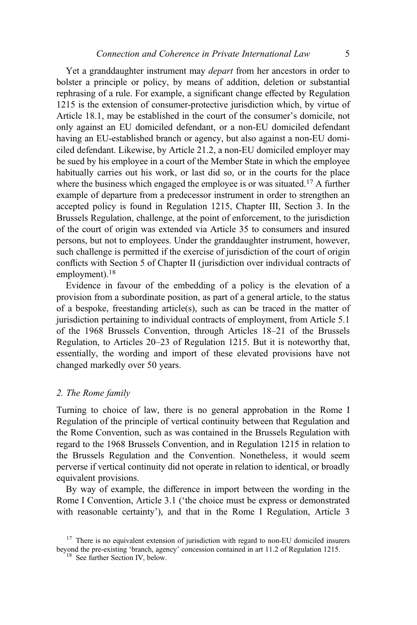Yet a granddaughter instrument may *depart* from her ancestors in order to bolster a principle or policy, by means of addition, deletion or substantial rephrasing of a rule. For example, a significant change effected by Regulation 1215 is the extension of consumer-protective jurisdiction which, by virtue of Article 18.1, may be established in the court of the consumer's domicile, not only against an EU domiciled defendant, or a non-EU domiciled defendant having an EU-established branch or agency, but also against a non-EU domiciled defendant. Likewise, by Article 21.2, a non-EU domiciled employer may be sued by his employee in a court of the Member State in which the employee habitually carries out his work, or last did so, or in the courts for the place where the business which engaged the employee is or was situated.<sup>17</sup> A further example of departure from a predecessor instrument in order to strengthen an accepted policy is found in Regulation 1215, Chapter III, Section 3. In the Brussels Regulation, challenge, at the point of enforcement, to the jurisdiction of the court of origin was extended via Article 35 to consumers and insured persons, but not to employees. Under the granddaughter instrument, however, such challenge is permitted if the exercise of jurisdiction of the court of origin conflicts with Section 5 of Chapter II (jurisdiction over individual contracts of employment).<sup>18</sup>

Evidence in favour of the embedding of a policy is the elevation of a provision from a subordinate position, as part of a general article, to the status of a bespoke, freestanding article(s), such as can be traced in the matter of jurisdiction pertaining to individual contracts of employment, from Article 5.1 of the 1968 Brussels Convention, through Articles 18–21 of the Brussels Regulation, to Articles 20–23 of Regulation 1215. But it is noteworthy that, essentially, the wording and import of these elevated provisions have not changed markedly over 50 years.

#### 2. The Rome family

Turning to choice of law, there is no general approbation in the Rome I Regulation of the principle of vertical continuity between that Regulation and the Rome Convention, such as was contained in the Brussels Regulation with regard to the 1968 Brussels Convention, and in Regulation 1215 in relation to the Brussels Regulation and the Convention. Nonetheless, it would seem perverse if vertical continuity did not operate in relation to identical, or broadly equivalent provisions.

By way of example, the difference in import between the wording in the Rome I Convention, Article 3.1 ('the choice must be express or demonstrated with reasonable certainty'), and that in the Rome I Regulation, Article 3

<sup>&</sup>lt;sup>17</sup> There is no equivalent extension of jurisdiction with regard to non-EU domiciled insurers beyond the pre-existing 'branch, agency' concession contained in art 11.2 of Regulation 1215. <sup>18</sup> See further Section IV, below.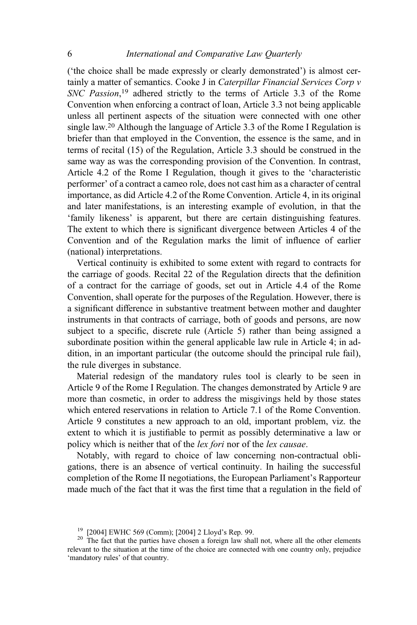('the choice shall be made expressly or clearly demonstrated') is almost certainly a matter of semantics. Cooke J in Caterpillar Financial Services Corp v SNC Passion,<sup>19</sup> adhered strictly to the terms of Article 3.3 of the Rome Convention when enforcing a contract of loan, Article 3.3 not being applicable unless all pertinent aspects of the situation were connected with one other single law.20 Although the language of Article 3.3 of the Rome I Regulation is briefer than that employed in the Convention, the essence is the same, and in terms of recital (15) of the Regulation, Article 3.3 should be construed in the same way as was the corresponding provision of the Convention. In contrast, Article 4.2 of the Rome I Regulation, though it gives to the 'characteristic performer' of a contract a cameo role, does not cast him as a character of central importance, as did Article 4.2 of the Rome Convention. Article 4, in its original and later manifestations, is an interesting example of evolution, in that the 'family likeness' is apparent, but there are certain distinguishing features. The extent to which there is significant divergence between Articles 4 of the Convention and of the Regulation marks the limit of influence of earlier (national) interpretations.

Vertical continuity is exhibited to some extent with regard to contracts for the carriage of goods. Recital 22 of the Regulation directs that the definition of a contract for the carriage of goods, set out in Article 4.4 of the Rome Convention, shall operate for the purposes of the Regulation. However, there is a significant difference in substantive treatment between mother and daughter instruments in that contracts of carriage, both of goods and persons, are now subject to a specific, discrete rule (Article 5) rather than being assigned a subordinate position within the general applicable law rule in Article 4; in addition, in an important particular (the outcome should the principal rule fail), the rule diverges in substance.

Material redesign of the mandatory rules tool is clearly to be seen in Article 9 of the Rome I Regulation. The changes demonstrated by Article 9 are more than cosmetic, in order to address the misgivings held by those states which entered reservations in relation to Article 7.1 of the Rome Convention. Article 9 constitutes a new approach to an old, important problem, viz. the extent to which it is justifiable to permit as possibly determinative a law or policy which is neither that of the lex fori nor of the lex causae.

Notably, with regard to choice of law concerning non-contractual obligations, there is an absence of vertical continuity. In hailing the successful completion of the Rome II negotiations, the European Parliament's Rapporteur made much of the fact that it was the first time that a regulation in the field of

<sup>&</sup>lt;sup>19</sup> [2004] EWHC 569 (Comm); [2004] 2 Lloyd's Rep. 99.<br><sup>20</sup> The fact that the parties have chosen a foreign law shall not, where all the other elements relevant to the situation at the time of the choice are connected with one country only, prejudice 'mandatory rules' of that country.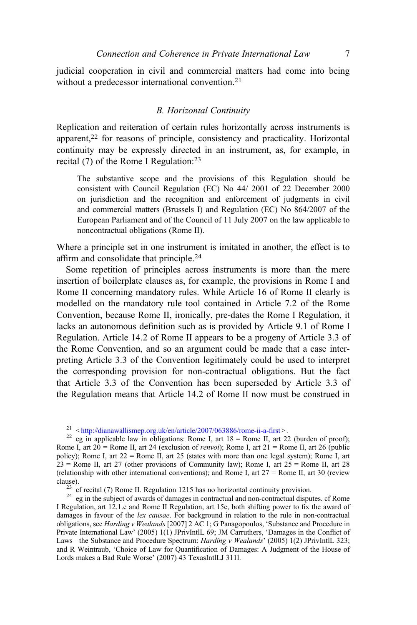judicial cooperation in civil and commercial matters had come into being without a predecessor international convention.<sup>21</sup>

#### B. Horizontal Continuity

Replication and reiteration of certain rules horizontally across instruments is apparent,22 for reasons of principle, consistency and practicality. Horizontal continuity may be expressly directed in an instrument, as, for example, in recital (7) of the Rome I Regulation:<sup>23</sup>

The substantive scope and the provisions of this Regulation should be consistent with Council Regulation (EC) No 44/ 2001 of 22 December 2000 on jurisdiction and the recognition and enforcement of judgments in civil and commercial matters (Brussels I) and Regulation (EC) No 864/2007 of the European Parliament and of the Council of 11 July 2007 on the law applicable to noncontractual obligations (Rome II).

Where a principle set in one instrument is imitated in another, the effect is to affirm and consolidate that principle.<sup>24</sup>

Some repetition of principles across instruments is more than the mere insertion of boilerplate clauses as, for example, the provisions in Rome I and Rome II concerning mandatory rules. While Article 16 of Rome II clearly is modelled on the mandatory rule tool contained in Article 7.2 of the Rome Convention, because Rome II, ironically, pre-dates the Rome I Regulation, it lacks an autonomous definition such as is provided by Article 9.1 of Rome I Regulation. Article 14.2 of Rome II appears to be a progeny of Article 3.3 of the Rome Convention, and so an argument could be made that a case interpreting Article 3.3 of the Convention legitimately could be used to interpret the corresponding provision for non-contractual obligations. But the fact that Article 3.3 of the Convention has been superseded by Article 3.3 of the Regulation means that Article 14.2 of Rome II now must be construed in

clause). <sup>23</sup> cf recital (7) Rome II. Regulation 1215 has no horizontal continuity provision.<br><sup>24</sup> eg in the subject of awards of damages in contractual and non-contractual disputes. cf Rome I Regulation, art 12.1.c and Rome II Regulation, art 15c, both shifting power to fix the award of damages in favour of the *lex causae*. For background in relation to the rule in non-contractual obligations, see Harding v Wealands [2007] 2 AC 1; G Panagopoulos, 'Substance and Procedure in Private International Law' (2005) 1(1) JPrivIntlL 69; JM Carruthers, 'Damages in the Conflict of Laws – the Substance and Procedure Spectrum: Harding v Wealands' (2005) 1(2) JPrivIntlL 323; and R Weintraub, 'Choice of Law for Quantification of Damages: A Judgment of the House of Lords makes a Bad Rule Worse' (2007) 43 TexasIntlLJ 311l.

<sup>&</sup>lt;sup>21</sup>  $\lt$ [http://dianawallismep.org.uk/en/article/2007/063886/rome-ii-a-](http://dianawallismep.org.uk/en/article/2007/063886/rome-ii-a-first)first>.<br><sup>22</sup> eg in applicable law in obligations: Rome I, art 18 = Rome II, art 22 (burden of proof); Rome I, art  $20 =$  Rome II, art  $24$  (exclusion of *renvoi*); Rome I, art  $21 =$  Rome II, art  $26$  (public policy); Rome I, art  $22 =$ Rome II, art  $25$  (states with more than one legal system); Rome I, art  $23$  = Rome II, art 27 (other provisions of Community law); Rome I, art 25 = Rome II, art 28 (relationship with other international conventions); and Rome I, art  $27 =$  Rome II, art 30 (review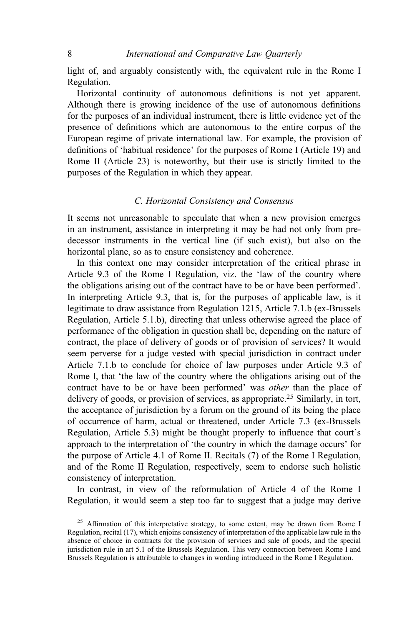light of, and arguably consistently with, the equivalent rule in the Rome I Regulation.

Horizontal continuity of autonomous definitions is not yet apparent. Although there is growing incidence of the use of autonomous definitions for the purposes of an individual instrument, there is little evidence yet of the presence of definitions which are autonomous to the entire corpus of the European regime of private international law. For example, the provision of definitions of 'habitual residence' for the purposes of Rome I (Article 19) and Rome II (Article 23) is noteworthy, but their use is strictly limited to the purposes of the Regulation in which they appear.

## C. Horizontal Consistency and Consensus

It seems not unreasonable to speculate that when a new provision emerges in an instrument, assistance in interpreting it may be had not only from predecessor instruments in the vertical line (if such exist), but also on the horizontal plane, so as to ensure consistency and coherence.

In this context one may consider interpretation of the critical phrase in Article 9.3 of the Rome I Regulation, viz. the 'law of the country where the obligations arising out of the contract have to be or have been performed'. In interpreting Article 9.3, that is, for the purposes of applicable law, is it legitimate to draw assistance from Regulation 1215, Article 7.1.b (ex-Brussels Regulation, Article 5.1.b), directing that unless otherwise agreed the place of performance of the obligation in question shall be, depending on the nature of contract, the place of delivery of goods or of provision of services? It would seem perverse for a judge vested with special jurisdiction in contract under Article 7.1.b to conclude for choice of law purposes under Article 9.3 of Rome I, that 'the law of the country where the obligations arising out of the contract have to be or have been performed' was other than the place of delivery of goods, or provision of services, as appropriate.<sup>25</sup> Similarly, in tort, the acceptance of jurisdiction by a forum on the ground of its being the place of occurrence of harm, actual or threatened, under Article 7.3 (ex-Brussels Regulation, Article 5.3) might be thought properly to influence that court's approach to the interpretation of 'the country in which the damage occurs' for the purpose of Article 4.1 of Rome II. Recitals (7) of the Rome I Regulation, and of the Rome II Regulation, respectively, seem to endorse such holistic consistency of interpretation.

In contrast, in view of the reformulation of Article 4 of the Rome I Regulation, it would seem a step too far to suggest that a judge may derive

 $25$  Affirmation of this interpretative strategy, to some extent, may be drawn from Rome I Regulation, recital (17), which enjoins consistency of interpretation of the applicable law rule in the absence of choice in contracts for the provision of services and sale of goods, and the special jurisdiction rule in art 5.1 of the Brussels Regulation. This very connection between Rome I and Brussels Regulation is attributable to changes in wording introduced in the Rome I Regulation.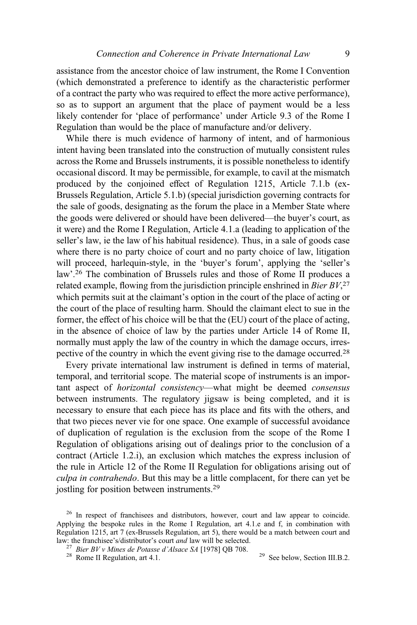assistance from the ancestor choice of law instrument, the Rome I Convention (which demonstrated a preference to identify as the characteristic performer of a contract the party who was required to effect the more active performance), so as to support an argument that the place of payment would be a less likely contender for 'place of performance' under Article 9.3 of the Rome I Regulation than would be the place of manufacture and/or delivery.

While there is much evidence of harmony of intent, and of harmonious intent having been translated into the construction of mutually consistent rules across the Rome and Brussels instruments, it is possible nonetheless to identify occasional discord. It may be permissible, for example, to cavil at the mismatch produced by the conjoined effect of Regulation 1215, Article 7.1.b (ex-Brussels Regulation, Article 5.1.b) (special jurisdiction governing contracts for the sale of goods, designating as the forum the place in a Member State where the goods were delivered or should have been delivered—the buyer's court, as it were) and the Rome I Regulation, Article 4.1.a (leading to application of the seller's law, ie the law of his habitual residence). Thus, in a sale of goods case where there is no party choice of court and no party choice of law, litigation will proceed, harlequin-style, in the 'buyer's forum', applying the 'seller's law'.<sup>26</sup> The combination of Brussels rules and those of Rome II produces a related example, flowing from the jurisdiction principle enshrined in Bier  $BV^{27}$ which permits suit at the claimant's option in the court of the place of acting or the court of the place of resulting harm. Should the claimant elect to sue in the former, the effect of his choice will be that the (EU) court of the place of acting, in the absence of choice of law by the parties under Article 14 of Rome II, normally must apply the law of the country in which the damage occurs, irrespective of the country in which the event giving rise to the damage occurred.<sup>28</sup>

Every private international law instrument is defined in terms of material, temporal, and territorial scope. The material scope of instruments is an important aspect of horizontal consistency—what might be deemed consensus between instruments. The regulatory jigsaw is being completed, and it is necessary to ensure that each piece has its place and fits with the others, and that two pieces never vie for one space. One example of successful avoidance of duplication of regulation is the exclusion from the scope of the Rome I Regulation of obligations arising out of dealings prior to the conclusion of a contract (Article 1.2.i), an exclusion which matches the express inclusion of the rule in Article 12 of the Rome II Regulation for obligations arising out of culpa in contrahendo. But this may be a little complacent, for there can yet be jostling for position between instruments.29

<sup>&</sup>lt;sup>26</sup> In respect of franchisees and distributors, however, court and law appear to coincide. Applying the bespoke rules in the Rome I Regulation, art 4.1.e and f, in combination with Regulation 1215, art 7 (ex-Brussels Regulation, art 5), there would be a match between court and law: the franchisee's/distributor's court *and* law will be selected.

<sup>&</sup>lt;sup>27</sup> Bier BV v Mines de Potasse d'Alsace SA [1978] QB 708. <sup>29</sup> See below, Section III.B.2.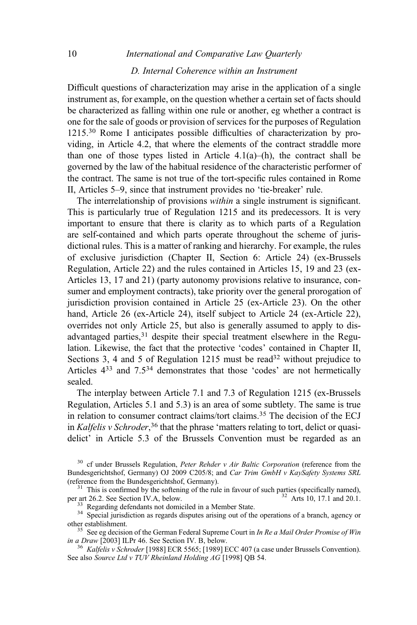# D. Internal Coherence within an Instrument 10 *International and Comparative Law Ouarterly*

Difficult questions of characterization may arise in the application of a single instrument as, for example, on the question whether a certain set of facts should be characterized as falling within one rule or another, eg whether a contract is one for the sale of goods or provision of services for the purposes of Regulation 1215.<sup>30</sup> Rome I anticipates possible difficulties of characterization by providing, in Article 4.2, that where the elements of the contract straddle more than one of those types listed in Article  $4.1(a)$ –(h), the contract shall be governed by the law of the habitual residence of the characteristic performer of the contract. The same is not true of the tort-specific rules contained in Rome II, Articles 5–9, since that instrument provides no 'tie-breaker' rule.

The interrelationship of provisions within a single instrument is significant. This is particularly true of Regulation 1215 and its predecessors. It is very important to ensure that there is clarity as to which parts of a Regulation are self-contained and which parts operate throughout the scheme of jurisdictional rules. This is a matter of ranking and hierarchy. For example, the rules of exclusive jurisdiction (Chapter II, Section 6: Article 24) (ex-Brussels Regulation, Article 22) and the rules contained in Articles 15, 19 and 23 (ex-Articles 13, 17 and 21) (party autonomy provisions relative to insurance, consumer and employment contracts), take priority over the general prorogation of jurisdiction provision contained in Article 25 (ex-Article 23). On the other hand, Article 26 (ex-Article 24), itself subject to Article 24 (ex-Article 22), overrides not only Article 25, but also is generally assumed to apply to disadvantaged parties,<sup>31</sup> despite their special treatment elsewhere in the Regulation. Likewise, the fact that the protective 'codes' contained in Chapter II, Sections 3, 4 and 5 of Regulation 1215 must be read<sup>32</sup> without prejudice to Articles 433 and 7.534 demonstrates that those 'codes' are not hermetically sealed.

The interplay between Article 7.1 and 7.3 of Regulation 1215 (ex-Brussels Regulation, Articles 5.1 and 5.3) is an area of some subtlety. The same is true in relation to consumer contract claims/tort claims.35 The decision of the ECJ in Kalfelis v Schroder,<sup>36</sup> that the phrase 'matters relating to tort, delict or quasidelict' in Article 5.3 of the Brussels Convention must be regarded as an

 $30$  cf under Brussels Regulation, *Peter Rehder v Air Baltic Corporation* (reference from the Bundesgerichtshof, Germany) OJ 2009 C205/8; and Car Trim GmbH v KaySafety Systems SRL

(reference from the Bundesgerichtshof, Germany).<br><sup>31</sup> This is confirmed by the softening of the rule in favour of such parties (specifically named),<br>per art 26.2. See Section IV.A, below.

 $\frac{33}{34}$  Regarding defendants not domiciled in a Member State.<br><sup>34</sup> Special jurisdiction as regards disputes arising out of the operations of a branch, agency or other establishment.

<sup>35</sup> See eg decision of the German Federal Supreme Court in *In Re a Mail Order Promise of Win in a Draw* [2003] ILPr 46. See Section IV. B, below.

<sup>36</sup> Kalfelis v Schroder [1988] ECR 5565; [1989] ECC 407 (a case under Brussels Convention). See also Source Ltd v TUV Rheinland Holding AG [1998] QB 54.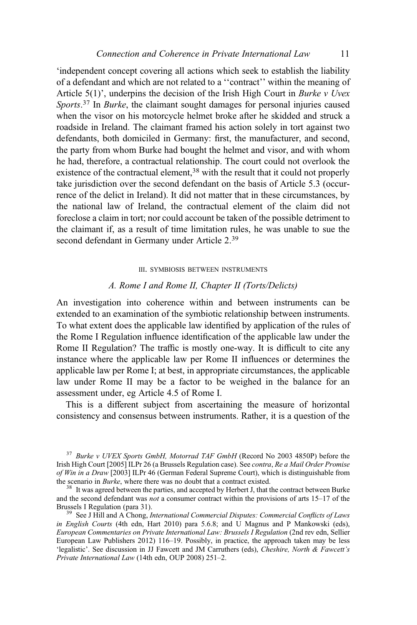'independent concept covering all actions which seek to establish the liability of a defendant and which are not related to a ''contract'' within the meaning of Article  $5(1)$ ', underpins the decision of the Irish High Court in *Burke v Uvex* Sports.<sup>37</sup> In Burke, the claimant sought damages for personal injuries caused when the visor on his motorcycle helmet broke after he skidded and struck a roadside in Ireland. The claimant framed his action solely in tort against two defendants, both domiciled in Germany: first, the manufacturer, and second, the party from whom Burke had bought the helmet and visor, and with whom he had, therefore, a contractual relationship. The court could not overlook the existence of the contractual element,<sup>38</sup> with the result that it could not properly take jurisdiction over the second defendant on the basis of Article 5.3 (occurrence of the delict in Ireland). It did not matter that in these circumstances, by the national law of Ireland, the contractual element of the claim did not foreclose a claim in tort; nor could account be taken of the possible detriment to the claimant if, as a result of time limitation rules, he was unable to sue the second defendant in Germany under Article 2.<sup>39</sup>

#### III. SYMBIOSIS BETWEEN INSTRUMENTS

#### A. Rome I and Rome II, Chapter II (Torts/Delicts)

An investigation into coherence within and between instruments can be extended to an examination of the symbiotic relationship between instruments. To what extent does the applicable law identified by application of the rules of the Rome I Regulation influence identification of the applicable law under the Rome II Regulation? The traffic is mostly one-way. It is difficult to cite any instance where the applicable law per Rome II influences or determines the applicable law per Rome I; at best, in appropriate circumstances, the applicable law under Rome II may be a factor to be weighed in the balance for an assessment under, eg Article 4.5 of Rome I.

This is a different subject from ascertaining the measure of horizontal consistency and consensus between instruments. Rather, it is a question of the

 $37$  Burke v UVEX Sports GmbH, Motorrad TAF GmbH (Record No 2003 4850P) before the Irish High Court [2005] ILPr 26 (a Brussels Regulation case). See contra, Re a Mail Order Promise of Win in a Draw [2003] ILPr 46 (German Federal Supreme Court), which is distinguishable from the scenario in *Burke*, where there was no doubt that a contract existed.  $38$  It was agreed between the parties, and accepted by Herbert J, that the contract between Burke

and the second defendant was *not* a consumer contract within the provisions of arts  $15-17$  of the Brussels I Regulation (para 31).

 $39$  See J Hill and A Chong, International Commercial Disputes: Commercial Conflicts of Laws in English Courts (4th edn, Hart 2010) para 5.6.8; and  $\hat{U}$  Magnus and P Mankowski (eds), European Commentaries on Private International Law: Brussels I Regulation (2nd rev edn, Sellier European Law Publishers 2012) 116–19. Possibly, in practice, the approach taken may be less 'legalistic'. See discussion in JJ Fawcett and JM Carruthers (eds), Cheshire, North & Fawcett's Private International Law (14th edn, OUP 2008) 251–2.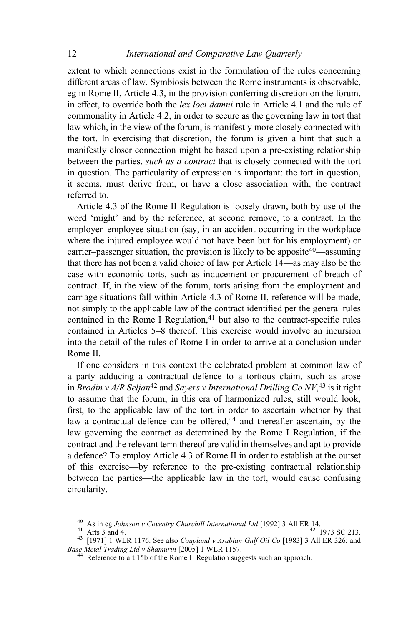extent to which connections exist in the formulation of the rules concerning different areas of law. Symbiosis between the Rome instruments is observable, eg in Rome II, Article 4.3, in the provision conferring discretion on the forum, in effect, to override both the lex loci damni rule in Article 4.1 and the rule of commonality in Article 4.2, in order to secure as the governing law in tort that law which, in the view of the forum, is manifestly more closely connected with the tort. In exercising that discretion, the forum is given a hint that such a manifestly closer connection might be based upon a pre-existing relationship between the parties, such as a contract that is closely connected with the tort in question. The particularity of expression is important: the tort in question, it seems, must derive from, or have a close association with, the contract referred to.

Article 4.3 of the Rome II Regulation is loosely drawn, both by use of the word 'might' and by the reference, at second remove, to a contract. In the employer–employee situation (say, in an accident occurring in the workplace where the injured employee would not have been but for his employment) or carrier–passenger situation, the provision is likely to be apposite<sup>40</sup>—assuming that there has not been a valid choice of law per Article 14—as may also be the case with economic torts, such as inducement or procurement of breach of contract. If, in the view of the forum, torts arising from the employment and carriage situations fall within Article 4.3 of Rome II, reference will be made, not simply to the applicable law of the contract identified per the general rules contained in the Rome I Regulation, $41$  but also to the contract-specific rules contained in Articles 5–8 thereof. This exercise would involve an incursion into the detail of the rules of Rome I in order to arrive at a conclusion under Rome II.

If one considers in this context the celebrated problem at common law of a party adducing a contractual defence to a tortious claim, such as arose in Brodin v A/R Seljan<sup>42</sup> and Sayers v International Drilling Co  $NV^{43}$  is it right to assume that the forum, in this era of harmonized rules, still would look, first, to the applicable law of the tort in order to ascertain whether by that law a contractual defence can be offered,<sup>44</sup> and thereafter ascertain, by the law governing the contract as determined by the Rome I Regulation, if the contract and the relevant term thereof are valid in themselves and apt to provide a defence? To employ Article 4.3 of Rome II in order to establish at the outset of this exercise—by reference to the pre-existing contractual relationship between the parties—the applicable law in the tort, would cause confusing circularity.

<sup>&</sup>lt;sup>40</sup> As in eg *Johnson v Coventry Churchill International Ltd* [1992] 3 All ER 14.<br><sup>41</sup> Arts 3 and 4.<br><sup>43</sup> [1971] 1 WLR 1176. See also *Coupland v Arabian Gulf Oil Co* [1983] 3 All ER 326; and<br>*Base Metal Trading Ltd v Sh* 

 $44$  Reference to art 15b of the Rome II Regulation suggests such an approach.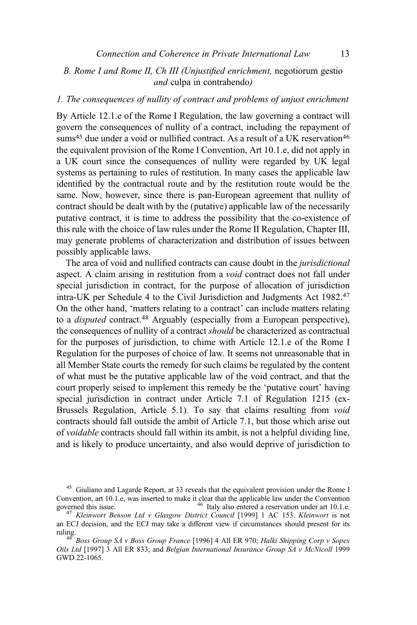# B. Rome I and Rome II, Ch III (Unjustified enrichment, negotiorum gestio and culpa in contrahendo)

# 1. The consequences of nullity of contract and problems of unjust enrichment

By Article 12.1.e of the Rome I Regulation, the law governing a contract will govern the consequences of nullity of a contract, including the repayment of sums<sup>45</sup> due under a void or nullified contract. As a result of a UK reservation<sup>46</sup> the equivalent provision of the Rome I Convention, Art 10.1.e, did not apply in a UK court since the consequences of nullity were regarded by UK legal systems as pertaining to rules of restitution. In many cases the applicable law identified by the contractual route and by the restitution route would be the same. Now, however, since there is pan-European agreement that nullity of contract should be dealt with by the (putative) applicable law of the necessarily putative contract, it is time to address the possibility that the co-existence of this rule with the choice of law rules under the Rome II Regulation, Chapter III, may generate problems of characterization and distribution of issues between possibly applicable laws.

The area of void and nullified contracts can cause doubt in the jurisdictional aspect. A claim arising in restitution from a void contract does not fall under special jurisdiction in contract, for the purpose of allocation of jurisdiction intra-UK per Schedule 4 to the Civil Jurisdiction and Judgments Act 1982.<sup>47</sup> On the other hand, 'matters relating to a contract' can include matters relating to a *disputed* contract.<sup>48</sup> Arguably (especially from a European perspective), the consequences of nullity of a contract should be characterized as contractual for the purposes of jurisdiction, to chime with Article 12.1.e of the Rome I Regulation for the purposes of choice of law. It seems not unreasonable that in all Member State courts the remedy for such claims be regulated by the content of what must be the putative applicable law of the void contract, and that the court properly seised to implement this remedy be the 'putative court' having special jurisdiction in contract under Article 7.1 of Regulation 1215 (ex-Brussels Regulation, Article 5.1). To say that claims resulting from void contracts should fall outside the ambit of Article 7.1, but those which arise out of voidable contracts should fall within its ambit, is not a helpful dividing line, and is likely to produce uncertainty, and also would deprive of jurisdiction to

<sup>45</sup> Giuliano and Lagarde Report, at 33 reveals that the equivalent provision under the Rome I Convention, art 10.1.e, was inserted to make it clear that the applicable law under the Convention governed this issue. governed this issue.  $46$  Italy also entered a reservation under art 10.1.e.  $47$  Kleinwort Benson Ltd v Glasgow District Council [1999] 1 AC 153. Kleinwort is not

an ECJ decision, and the ECJ may take a different view if circumstances should present for its

 $48^{48}$  Boss Group SA v Boss Group France [1996] 4 All ER 970; Halki Shipping Corp v Sopex Oils Ltd [1997] 3 All ER 833; and Belgian International Insurance Group SA v McNicoll 1999 GWD 22-1065.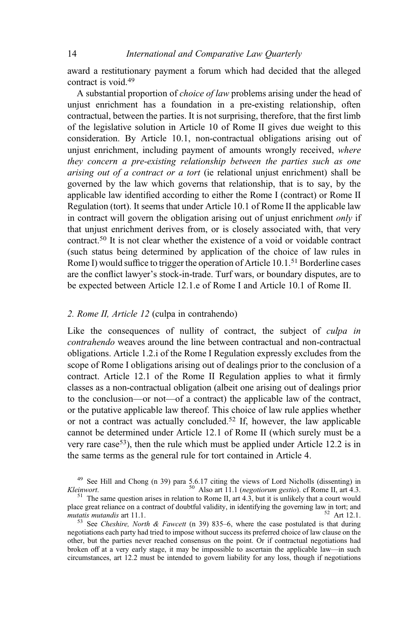award a restitutionary payment a forum which had decided that the alleged contract is void.<sup>49</sup>

A substantial proportion of choice of law problems arising under the head of unjust enrichment has a foundation in a pre-existing relationship, often contractual, between the parties. It is not surprising, therefore, that the first limb of the legislative solution in Article 10 of Rome II gives due weight to this consideration. By Article 10.1, non-contractual obligations arising out of unjust enrichment, including payment of amounts wrongly received, where they concern a pre-existing relationship between the parties such as one arising out of a contract or a tort (ie relational unjust enrichment) shall be governed by the law which governs that relationship, that is to say, by the applicable law identified according to either the Rome I (contract) or Rome II Regulation (tort). It seems that under Article 10.1 of Rome II the applicable law in contract will govern the obligation arising out of unjust enrichment only if that unjust enrichment derives from, or is closely associated with, that very contract.<sup>50</sup> It is not clear whether the existence of a void or voidable contract (such status being determined by application of the choice of law rules in Rome I) would suffice to trigger the operation of Article  $10.1$ <sup>51</sup> Borderline cases are the conflict lawyer's stock-in-trade. Turf wars, or boundary disputes, are to be expected between Article 12.1.e of Rome I and Article 10.1 of Rome II.

### 2. Rome II, Article 12 (culpa in contrahendo)

Like the consequences of nullity of contract, the subject of *culpa in* contrahendo weaves around the line between contractual and non-contractual obligations. Article 1.2.i of the Rome I Regulation expressly excludes from the scope of Rome I obligations arising out of dealings prior to the conclusion of a contract. Article 12.1 of the Rome II Regulation applies to what it firmly classes as a non-contractual obligation (albeit one arising out of dealings prior to the conclusion—or not—of a contract) the applicable law of the contract, or the putative applicable law thereof. This choice of law rule applies whether or not a contract was actually concluded.52 If, however, the law applicable cannot be determined under Article 12.1 of Rome II (which surely must be a very rare case53), then the rule which must be applied under Article 12.2 is in the same terms as the general rule for tort contained in Article 4.

<sup>&</sup>lt;sup>49</sup> See Hill and Chong (n 39) para 5.6.17 citing the views of Lord Nicholls (dissenting) in *einwort*.  $^{50}$  Also art 11.1 (*negotiorum gestio*). cf Rome II, art 4.3. *Kleinwort.* <sup>50</sup> Also art 11.1 (*negotiorum gestio*). cf Rome II, art 4.3. <sup>51</sup> The same question arises in relation to Rome II, art 4.3, but it is unlikely that a court would

place great reliance on a contract of doubtful validity, in identifying the governing law in tort; and *mutatis mutandis* art 11.1. mutatis mutandis art 11.1.  $\frac{52 \text{ Art } 12.1.}{53 \text{ See } Cheshire, North \& Fawcett (n 39) 835-6, where the case postulated is that during}$ 

negotiations each party had tried to impose without success its preferred choice of law clause on the other, but the parties never reached consensus on the point. Or if contractual negotiations had broken off at a very early stage, it may be impossible to ascertain the applicable law—in such circumstances, art 12.2 must be intended to govern liability for any loss, though if negotiations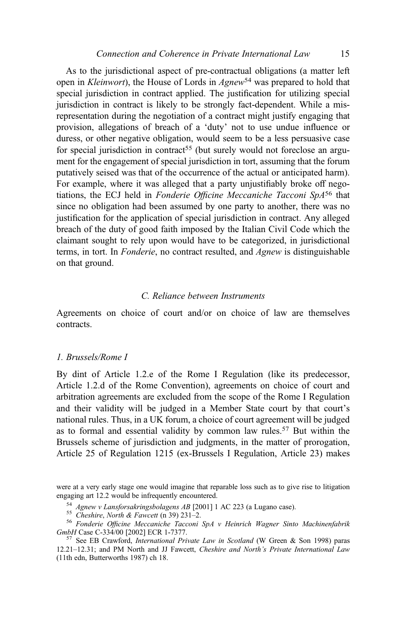As to the jurisdictional aspect of pre-contractual obligations (a matter left open in *Kleinwort*), the House of Lords in Agnew<sup>54</sup> was prepared to hold that special jurisdiction in contract applied. The justification for utilizing special jurisdiction in contract is likely to be strongly fact-dependent. While a misrepresentation during the negotiation of a contract might justify engaging that provision, allegations of breach of a 'duty' not to use undue influence or duress, or other negative obligation, would seem to be a less persuasive case for special jurisdiction in contract<sup>55</sup> (but surely would not foreclose an argument for the engagement of special jurisdiction in tort, assuming that the forum putatively seised was that of the occurrence of the actual or anticipated harm). For example, where it was alleged that a party unjustifiably broke off negotiations, the ECJ held in Fonderie Officine Meccaniche Tacconi SpA<sup>56</sup> that since no obligation had been assumed by one party to another, there was no justification for the application of special jurisdiction in contract. Any alleged breach of the duty of good faith imposed by the Italian Civil Code which the claimant sought to rely upon would have to be categorized, in jurisdictional terms, in tort. In Fonderie, no contract resulted, and Agnew is distinguishable on that ground.

#### C. Reliance between Instruments

Agreements on choice of court and/or on choice of law are themselves contracts.

#### 1. Brussels/Rome I

By dint of Article 1.2.e of the Rome I Regulation (like its predecessor, Article 1.2.d of the Rome Convention), agreements on choice of court and arbitration agreements are excluded from the scope of the Rome I Regulation and their validity will be judged in a Member State court by that court's national rules. Thus, in a UK forum, a choice of court agreement will be judged as to formal and essential validity by common law rules.<sup>57</sup> But within the Brussels scheme of jurisdiction and judgments, in the matter of prorogation, Article 25 of Regulation 1215 (ex-Brussels I Regulation, Article 23) makes

were at a very early stage one would imagine that reparable loss such as to give rise to litigation engaging art 12.2 would be infrequently encountered.

<sup>&</sup>lt;sup>54</sup> Agnew v Lansforsakringsbolagens AB [2001] 1 AC 223 (a Lugano case).<br><sup>55</sup> Cheshire, North & Fawcett (n 39) 231–2.<br><sup>56</sup> Fonderie Officine Meccaniche Tacconi SpA v Heinrich Wagner Sinto Machinenfabrik<br>GmbH Case C-334/00

 $57$  See EB Crawford, *International Private Law in Scotland* (W Green & Son 1998) paras 12.21–12.31; and PM North and JJ Fawcett, Cheshire and North's Private International Law (11th edn, Butterworths 1987) ch 18.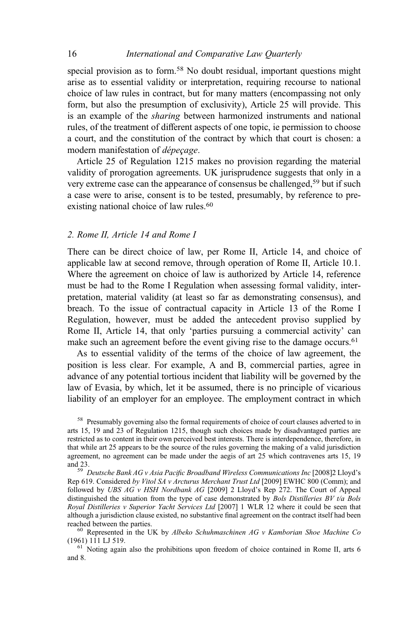special provision as to form.<sup>58</sup> No doubt residual, important questions might arise as to essential validity or interpretation, requiring recourse to national choice of law rules in contract, but for many matters (encompassing not only form, but also the presumption of exclusivity), Article 25 will provide. This is an example of the sharing between harmonized instruments and national rules, of the treatment of different aspects of one topic, ie permission to choose a court, and the constitution of the contract by which that court is chosen: a modern manifestation of dépeçage.

Article 25 of Regulation 1215 makes no provision regarding the material validity of prorogation agreements. UK jurisprudence suggests that only in a very extreme case can the appearance of consensus be challenged,<sup>59</sup> but if such a case were to arise, consent is to be tested, presumably, by reference to preexisting national choice of law rules.<sup>60</sup>

#### 2. Rome II, Article 14 and Rome I

There can be direct choice of law, per Rome II, Article 14, and choice of applicable law at second remove, through operation of Rome II, Article 10.1. Where the agreement on choice of law is authorized by Article 14, reference must be had to the Rome I Regulation when assessing formal validity, interpretation, material validity (at least so far as demonstrating consensus), and breach. To the issue of contractual capacity in Article 13 of the Rome I Regulation, however, must be added the antecedent proviso supplied by Rome II, Article 14, that only 'parties pursuing a commercial activity' can make such an agreement before the event giving rise to the damage occurs.<sup>61</sup>

As to essential validity of the terms of the choice of law agreement, the position is less clear. For example, A and B, commercial parties, agree in advance of any potential tortious incident that liability will be governed by the law of Evasia, by which, let it be assumed, there is no principle of vicarious liability of an employer for an employee. The employment contract in which

Rep 619. Considered by Vitol SA v Arcturus Merchant Trust Ltd [2009] EWHC 800 (Comm); and followed by UBS  $AG$  v HSH Nordbank  $AG$  [2009] 2 Lloyd's Rep 272. The Court of Appeal distinguished the situation from the type of case demonstrated by *Bols Distilleries BV t/a Bols* Royal Distilleries v Superior Yacht Services Ltd [2007] 1 WLR 12 where it could be seen that although a jurisdiction clause existed, no substantive final agreement on the contract itself had been

<sup>60</sup> Represented in the UK by Albeko Schuhmaschinen AG v Kamborian Shoe Machine Co (1961) 111 LJ 519.

 $<sup>61</sup>$  Noting again also the prohibitions upon freedom of choice contained in Rome II, arts 6</sup> and 8.

<sup>&</sup>lt;sup>58</sup> Presumably governing also the formal requirements of choice of court clauses adverted to in arts 15, 19 and 23 of Regulation 1215, though such choices made by disadvantaged parties are restricted as to content in their own perceived best interests. There is interdependence, therefore, in that while art 25 appears to be the source of the rules governing the making of a valid jurisdiction agreement, no agreement can be made under the aegis of art 25 which contravenes arts 15, 19 and 23. <sup>59</sup> Deutsche Bank AG v Asia Pacific Broadband Wireless Communications Inc [2008]2 Lloyd'<sup>s</sup>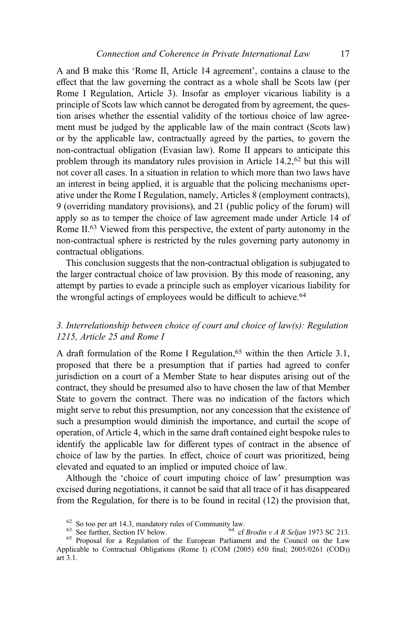A and B make this 'Rome II, Article 14 agreement', contains a clause to the effect that the law governing the contract as a whole shall be Scots law (per Rome I Regulation, Article 3). Insofar as employer vicarious liability is a principle of Scots law which cannot be derogated from by agreement, the question arises whether the essential validity of the tortious choice of law agreement must be judged by the applicable law of the main contract (Scots law) or by the applicable law, contractually agreed by the parties, to govern the non-contractual obligation (Evasian law). Rome II appears to anticipate this problem through its mandatory rules provision in Article 14.2,<sup>62</sup> but this will not cover all cases. In a situation in relation to which more than two laws have an interest in being applied, it is arguable that the policing mechanisms operative under the Rome I Regulation, namely, Articles 8 (employment contracts), 9 (overriding mandatory provisions), and 21 (public policy of the forum) will apply so as to temper the choice of law agreement made under Article 14 of Rome II.<sup>63</sup> Viewed from this perspective, the extent of party autonomy in the non-contractual sphere is restricted by the rules governing party autonomy in contractual obligations.

This conclusion suggests that the non-contractual obligation is subjugated to the larger contractual choice of law provision. By this mode of reasoning, any attempt by parties to evade a principle such as employer vicarious liability for the wrongful actings of employees would be difficult to achieve.<sup>64</sup>

# 3. Interrelationship between choice of court and choice of law(s): Regulation 1215, Article 25 and Rome I

A draft formulation of the Rome I Regulation,<sup>65</sup> within the then Article 3.1, proposed that there be a presumption that if parties had agreed to confer jurisdiction on a court of a Member State to hear disputes arising out of the contract, they should be presumed also to have chosen the law of that Member State to govern the contract. There was no indication of the factors which might serve to rebut this presumption, nor any concession that the existence of such a presumption would diminish the importance, and curtail the scope of operation, of Article 4, which in the same draft contained eight bespoke rules to identify the applicable law for different types of contract in the absence of choice of law by the parties. In effect, choice of court was prioritized, being elevated and equated to an implied or imputed choice of law.

Although the 'choice of court imputing choice of law' presumption was excised during negotiations, it cannot be said that all trace of it has disappeared from the Regulation, for there is to be found in recital (12) the provision that,

For So too per art 14.3, mandatory rules of Community law.<br>  $\frac{63}{4}$  See further, Section IV below.<br>  $\frac{64}{4}$  cf Brodin v A R Seljan 1973 SC 213.<br>  $\frac{65}{4}$  Proposal for a Regulation of the European Parliament and th

Applicable to Contractual Obligations (Rome I) (COM (2005) 650 final; 2005/0261 (COD)) art 3.1.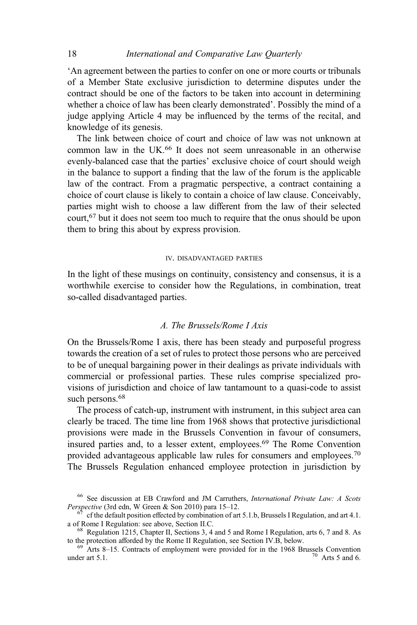'An agreement between the parties to confer on one or more courts or tribunals of a Member State exclusive jurisdiction to determine disputes under the contract should be one of the factors to be taken into account in determining whether a choice of law has been clearly demonstrated'. Possibly the mind of a judge applying Article 4 may be influenced by the terms of the recital, and knowledge of its genesis.

The link between choice of court and choice of law was not unknown at common law in the UK.<sup>66</sup> It does not seem unreasonable in an otherwise evenly-balanced case that the parties' exclusive choice of court should weigh in the balance to support a finding that the law of the forum is the applicable law of the contract. From a pragmatic perspective, a contract containing a choice of court clause is likely to contain a choice of law clause. Conceivably, parties might wish to choose a law different from the law of their selected court,<sup>67</sup> but it does not seem too much to require that the onus should be upon them to bring this about by express provision.

#### IV. DISADVANTAGED PARTIES

In the light of these musings on continuity, consistency and consensus, it is a worthwhile exercise to consider how the Regulations, in combination, treat so-called disadvantaged parties.

#### A. The Brussels/Rome I Axis

On the Brussels/Rome I axis, there has been steady and purposeful progress towards the creation of a set of rules to protect those persons who are perceived to be of unequal bargaining power in their dealings as private individuals with commercial or professional parties. These rules comprise specialized provisions of jurisdiction and choice of law tantamount to a quasi-code to assist such persons.<sup>68</sup>

The process of catch-up, instrument with instrument, in this subject area can clearly be traced. The time line from 1968 shows that protective jurisdictional provisions were made in the Brussels Convention in favour of consumers, insured parties and, to a lesser extent, employees.69 The Rome Convention provided advantageous applicable law rules for consumers and employees.70 The Brussels Regulation enhanced employee protection in jurisdiction by

<sup>&</sup>lt;sup>66</sup> See discussion at EB Crawford and JM Carruthers, *International Private Law: A Scots Perspective* (3rd edn, W Green & Son 2010) para 15–12.

<sup>&</sup>lt;sup>67</sup> cf the default position effected by combination of art 5.1.b, Brussels I Regulation, and art 4.1. a of Rome I Regulation: see above, Section II.C.

<sup>&</sup>lt;sup>68</sup> Regulation 1215, Chapter II, Sections 3, 4 and 5 and Rome I Regulation, arts 6, 7 and 8. As to the protection afforded by the Rome II Regulation, see Section IV.B, below.

 $69$  Arts 8–15. Contracts of employment were provided for in the 1968 Brussels Convention under art 5.1.  $\frac{70}{100}$  Arts 5 and 6.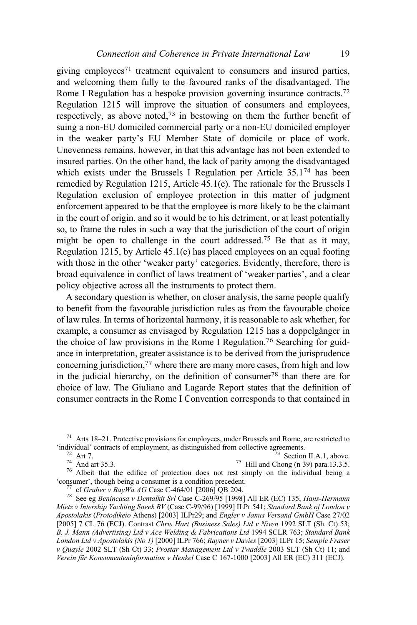giving employees<sup>71</sup> treatment equivalent to consumers and insured parties, and welcoming them fully to the favoured ranks of the disadvantaged. The Rome I Regulation has a bespoke provision governing insurance contracts.<sup>72</sup> Regulation 1215 will improve the situation of consumers and employees, respectively, as above noted,<sup>73</sup> in bestowing on them the further benefit of suing a non-EU domiciled commercial party or a non-EU domiciled employer in the weaker party's EU Member State of domicile or place of work. Unevenness remains, however, in that this advantage has not been extended to insured parties. On the other hand, the lack of parity among the disadvantaged which exists under the Brussels I Regulation per Article 35.1<sup>74</sup> has been remedied by Regulation 1215, Article 45.1(e). The rationale for the Brussels I Regulation exclusion of employee protection in this matter of judgment enforcement appeared to be that the employee is more likely to be the claimant in the court of origin, and so it would be to his detriment, or at least potentially so, to frame the rules in such a way that the jurisdiction of the court of origin might be open to challenge in the court addressed.<sup>75</sup> Be that as it may, Regulation 1215, by Article 45.1(e) has placed employees on an equal footing with those in the other 'weaker party' categories. Evidently, therefore, there is broad equivalence in conflict of laws treatment of 'weaker parties', and a clear policy objective across all the instruments to protect them.

A secondary question is whether, on closer analysis, the same people qualify to benefit from the favourable jurisdiction rules as from the favourable choice of law rules. In terms of horizontal harmony, it is reasonable to ask whether, for example, a consumer as envisaged by Regulation 1215 has a doppelgänger in the choice of law provisions in the Rome I Regulation.76 Searching for guidance in interpretation, greater assistance is to be derived from the jurisprudence concerning jurisdiction,<sup>77</sup> where there are many more cases, from high and low in the judicial hierarchy, on the definition of consumer<sup>78</sup> than there are for choice of law. The Giuliano and Lagarde Report states that the definition of consumer contracts in the Rome I Convention corresponds to that contained in

<sup>72</sup> Art 7.<br><sup>74</sup> And art 35.3.<br><sup>75</sup> Albeit that the edifice of protection does not rest simply on the individual being a<br>
<sup>75</sup> Consumer', though being a consumer is a condition precedent.

<sup>77</sup> cf Gruber v BayWa AG Case C-464/01 [2006] QB 204.<br><sup>78</sup> See eg Benincasa v Dentalkit Srl Case C-269/95 [1998] All ER (EC) 135, Hans-Hermann Mietz v Intership Yachting Sneek BV (Case C-99/96) [1999] ILPr 541; Standard Bank of London v Apostolakis (Protodikeio Athens) [2003] ILPr29; and Engler v Janus Versand GmbH Case 27/02 [2005] 7 CL 76 (ECJ). Contrast Chris Hart (Business Sales) Ltd v Niven 1992 SLT (Sh. Ct) 53; B. J. Mann (Advertising) Ltd v Ace Welding & Fabrications Ltd 1994 SCLR 763; Standard Bank London Ltd v Apostolakis (No 1) [2000] ILPr 766; Rayner v Davies [2003] ILPr 15; Semple Fraser v Quayle 2002 SLT (Sh Ct) 33; Prostar Management Ltd v Twaddle 2003 SLT (Sh Ct) 11; and Verein für Konsumenteninformation v Henkel Case C 167-1000 [2003] All ER (EC) 311 (ECJ).

<sup>&</sup>lt;sup>71</sup> Arts 18–21. Protective provisions for employees, under Brussels and Rome, are restricted to 'individual' contracts of employment, as distinguished from collective agreements.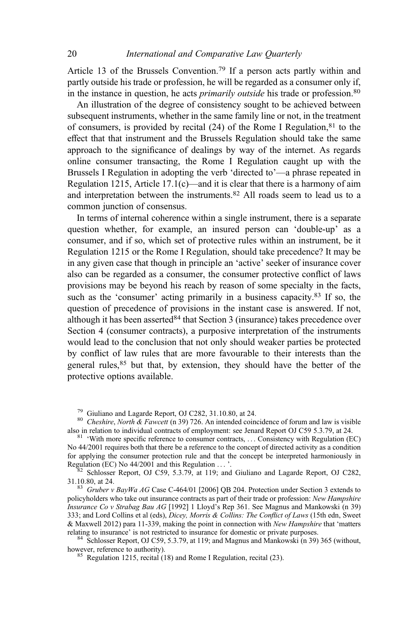Article 13 of the Brussels Convention.<sup>79</sup> If a person acts partly within and partly outside his trade or profession, he will be regarded as a consumer only if, in the instance in question, he acts *primarily outside* his trade or profession.<sup>80</sup>

An illustration of the degree of consistency sought to be achieved between subsequent instruments, whether in the same family line or not, in the treatment of consumers, is provided by recital  $(24)$  of the Rome I Regulation,  $81$  to the effect that that instrument and the Brussels Regulation should take the same approach to the significance of dealings by way of the internet. As regards online consumer transacting, the Rome I Regulation caught up with the Brussels I Regulation in adopting the verb 'directed to'—a phrase repeated in Regulation 1215, Article 17.1(c)—and it is clear that there is a harmony of aim and interpretation between the instruments.82 All roads seem to lead us to a common junction of consensus.

In terms of internal coherence within a single instrument, there is a separate question whether, for example, an insured person can 'double-up' as a consumer, and if so, which set of protective rules within an instrument, be it Regulation 1215 or the Rome I Regulation, should take precedence? It may be in any given case that though in principle an 'active' seeker of insurance cover also can be regarded as a consumer, the consumer protective conflict of laws provisions may be beyond his reach by reason of some specialty in the facts, such as the 'consumer' acting primarily in a business capacity.<sup>83</sup> If so, the question of precedence of provisions in the instant case is answered. If not, although it has been asserted  $84$  that Section 3 (insurance) takes precedence over Section 4 (consumer contracts), a purposive interpretation of the instruments would lead to the conclusion that not only should weaker parties be protected by conflict of law rules that are more favourable to their interests than the general rules,<sup>85</sup> but that, by extension, they should have the better of the protective options available.

<sup>79</sup> Giuliano and Lagarde Report, OJ C282, 31.10.80, at 24.<br><sup>80</sup> Cheshire, North & Fawcett (n 39) 726. An intended coincidence of forum and law is visible also in relation to individual contracts of employment: see Jenard

 $81$  'With more specific reference to consumer contracts, ... Consistency with Regulation (EC) No 44/2001 requires both that there be a reference to the concept of directed activity as a condition for applying the consumer protection rule and that the concept be interpreted harmoniously in Regulation (EC) No  $44/2001$  and this Regulation ...,

 $82$  Schlosser Report, OJ C59, 5.3.79, at 119; and Giuliano and Lagarde Report, OJ C282, 31.10.80, at 24. 83 Gruber v BayWa AG Case C-464/01 [2006] OB 204. Protection under Section 3 extends to

policyholders who take out insurance contracts as part of their trade or profession: New Hampshire Insurance Co v Strabag Bau AG [1992] 1 Lloyd's Rep 361. See Magnus and Mankowski (n 39) 333; and Lord Collins et al (eds), Dicey, Morris & Collins: The Conflict of Laws (15th edn, Sweet & Maxwell 2012) para 11-339, making the point in connection with *New Hampshire* that 'matters relating to insurance' is not restricted to insurance for domestic or private purposes.

 $84$  Schlosser Report, OJ C59, 5.3.79, at 119; and Magnus and Mankowski (n 39) 365 (without, however, reference to authority).

 $h^{85}$  Regulation 1215, recital (18) and Rome I Regulation, recital (23).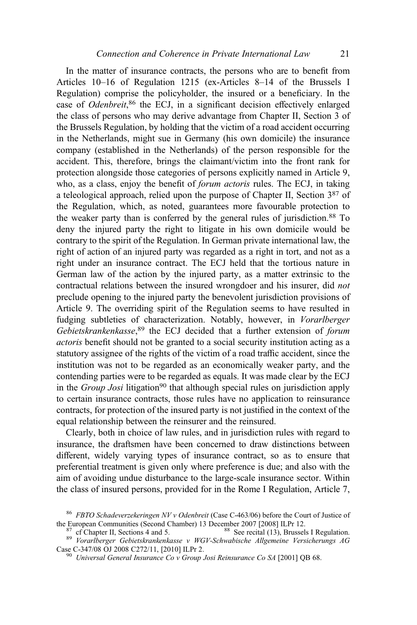In the matter of insurance contracts, the persons who are to benefit from Articles 10–16 of Regulation 1215 (ex-Articles 8–14 of the Brussels I Regulation) comprise the policyholder, the insured or a beneficiary. In the case of Odenbreit,<sup>86</sup> the ECJ, in a significant decision effectively enlarged the class of persons who may derive advantage from Chapter II, Section 3 of the Brussels Regulation, by holding that the victim of a road accident occurring in the Netherlands, might sue in Germany (his own domicile) the insurance company (established in the Netherlands) of the person responsible for the accident. This, therefore, brings the claimant/victim into the front rank for protection alongside those categories of persons explicitly named in Article 9, who, as a class, enjoy the benefit of *forum actoris* rules. The ECJ, in taking a teleological approach, relied upon the purpose of Chapter II, Section 387 of the Regulation, which, as noted, guarantees more favourable protection to the weaker party than is conferred by the general rules of jurisdiction.<sup>88</sup> To deny the injured party the right to litigate in his own domicile would be contrary to the spirit of the Regulation. In German private international law, the right of action of an injured party was regarded as a right in tort, and not as a right under an insurance contract. The ECJ held that the tortious nature in German law of the action by the injured party, as a matter extrinsic to the contractual relations between the insured wrongdoer and his insurer, did not preclude opening to the injured party the benevolent jurisdiction provisions of Article 9. The overriding spirit of the Regulation seems to have resulted in fudging subtleties of characterization. Notably, however, in Vorarlberger Gebietskrankenkasse,<sup>89</sup> the ECJ decided that a further extension of forum actoris benefit should not be granted to a social security institution acting as a statutory assignee of the rights of the victim of a road traffic accident, since the institution was not to be regarded as an economically weaker party, and the contending parties were to be regarded as equals. It was made clear by the ECJ in the *Group Josi* litigation<sup>90</sup> that although special rules on jurisdiction apply to certain insurance contracts, those rules have no application to reinsurance contracts, for protection of the insured party is not justified in the context of the equal relationship between the reinsurer and the reinsured.

Clearly, both in choice of law rules, and in jurisdiction rules with regard to insurance, the draftsmen have been concerned to draw distinctions between different, widely varying types of insurance contract, so as to ensure that preferential treatment is given only where preference is due; and also with the aim of avoiding undue disturbance to the large-scale insurance sector. Within the class of insured persons, provided for in the Rome I Regulation, Article 7,

<sup>&</sup>lt;sup>86</sup> FBTO Schadeverzekeringen NV v Odenbreit (Case C-463/06) before the Court of Justice of the European Communities (Second Chamber) 13 December 2007 [2008] ILPr 12.

<sup>&</sup>lt;sup>87</sup> cf Chapter II, Sections 4 and 5.<br><sup>89</sup> See recital (13), Brussels I Regulation.<br><sup>89</sup> Vorarlberger Gebietskrankenkasse v WGV-Schwabische Allgemeine Versicherungs AG<br>Case C-347/08 OJ 2008 C272/11, [2010] ILPr 2.

 $^{90}$  Universal General Insurance Co v Group Josi Reinsurance Co SA [2001] QB 68.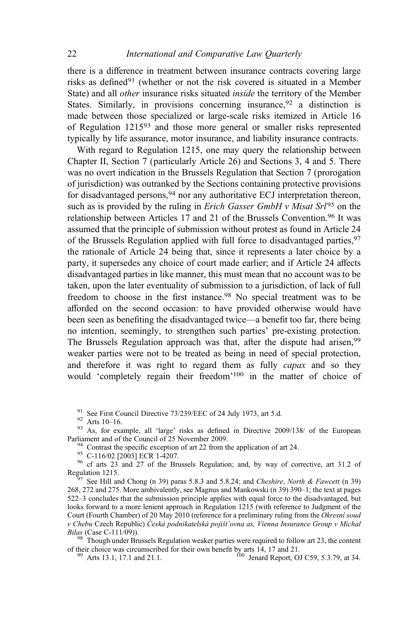there is a difference in treatment between insurance contracts covering large risks as defined<sup>91</sup> (whether or not the risk covered is situated in a Member State) and all other insurance risks situated inside the territory of the Member States. Similarly, in provisions concerning insurance,  $92\alpha$  a distinction is made between those specialized or large-scale risks itemized in Article 16 of Regulation 1215<sup>93</sup> and those more general or smaller risks represented typically by life assurance, motor insurance, and liability insurance contracts.

With regard to Regulation 1215, one may query the relationship between Chapter II, Section 7 (particularly Article 26) and Sections 3, 4 and 5. There was no overt indication in the Brussels Regulation that Section 7 (prorogation of jurisdiction) was outranked by the Sections containing protective provisions for disadvantaged persons,<sup>94</sup> nor any authoritative ECJ interpretation thereon, such as is provided by the ruling in *Erich Gasser GmbH v Misat Srl*<sup>95</sup> on the relationship between Articles 17 and 21 of the Brussels Convention.<sup>96</sup> It was assumed that the principle of submission without protest as found in Article 24 of the Brussels Regulation applied with full force to disadvantaged parties, <sup>97</sup> the rationale of Article 24 being that, since it represents a later choice by a party, it supersedes any choice of court made earlier; and if Article 24 affects disadvantaged parties in like manner, this must mean that no account was to be taken, upon the later eventuality of submission to a jurisdiction, of lack of full freedom to choose in the first instance.<sup>98</sup> No special treatment was to be afforded on the second occasion: to have provided otherwise would have been seen as benefiting the disadvantaged twice—a benefit too far, there being no intention, seemingly, to strengthen such parties' pre-existing protection. The Brussels Regulation approach was that, after the dispute had arisen, <sup>99</sup> weaker parties were not to be treated as being in need of special protection, and therefore it was right to regard them as fully *capax* and so they would 'completely regain their freedom'<sup>100</sup> in the matter of choice of

<sup>91</sup> See First Council Directive 73/239/EEC of 24 July 1973, art 5.d. <sup>92</sup> Arts 10–16.<br><sup>92</sup> Arts 10–16.<br><sup>93</sup> As, for example, all 'large' risks as defined in Directive 2009/138/ of the European Parliament and of the Counc

<sup>94</sup> Contrast the specific exception of art 22 from the application of art 24.<br><sup>95</sup> C-116/02 [2003] ECR 1-4207.<br><sup>96</sup> cf arts 23 and 27 of the Brussels Regulation; and, by way of corrective, art 31.2 of Regulation 1215.

 $\frac{6}{7}$  See Hill and Chong (n 39) paras 5.8.3 and 5.8.24; and Cheshire, North & Fawcett (n 39) 268, 272 and 275. More ambivalently, see Magnus and Mankowski (n 39) 390–1; the text at pages 522–3 concludes that the submission principle applies with equal force to the disadvantaged, but looks forward to a more lenient approach in Regulation 1215 (with reference to Judgment of the Court (Fourth Chamber) of 20 May 2010 (reference for a preliminary ruling from the Okresní soud v Chebu Czech Republic) Česká podnikatelská pojišť ovna as, Vienna Insurance Group v Michal Bilas (Case C-111/09)).

 $88$  Though under Brussels Regulation weaker parties were required to follow art 23, the content of their choice was circumscribed for their own benefit by arts  $14$ , 17 and 21. <sup>99</sup> Arts 13.1, 17.1 and 21.1. 100 Jenard Report, OJ C59, 5.3.79, at 34.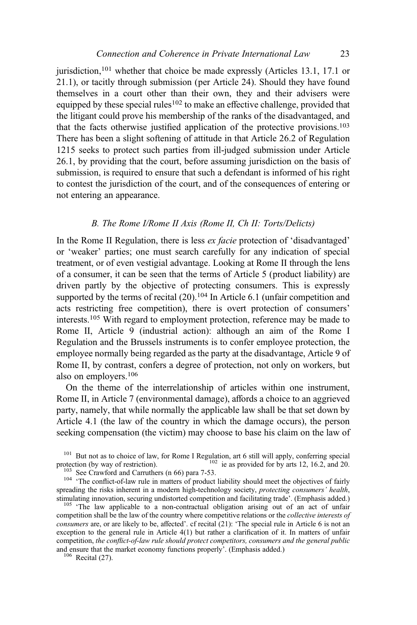jurisdiction,<sup>101</sup> whether that choice be made expressly (Articles 13.1, 17.1 or 21.1), or tacitly through submission (per Article 24). Should they have found themselves in a court other than their own, they and their advisers were equipped by these special rules<sup>102</sup> to make an effective challenge, provided that the litigant could prove his membership of the ranks of the disadvantaged, and that the facts otherwise justified application of the protective provisions.103 There has been a slight softening of attitude in that Article 26.2 of Regulation 1215 seeks to protect such parties from ill-judged submission under Article 26.1, by providing that the court, before assuming jurisdiction on the basis of submission, is required to ensure that such a defendant is informed of his right to contest the jurisdiction of the court, and of the consequences of entering or not entering an appearance.

#### B. The Rome I/Rome II Axis (Rome II, Ch II: Torts/Delicts)

In the Rome II Regulation, there is less ex facie protection of 'disadvantaged' or 'weaker' parties; one must search carefully for any indication of special treatment, or of even vestigial advantage. Looking at Rome II through the lens of a consumer, it can be seen that the terms of Article 5 (product liability) are driven partly by the objective of protecting consumers. This is expressly supported by the terms of recital  $(20)$ .<sup>104</sup> In Article 6.1 (unfair competition and acts restricting free competition), there is overt protection of consumers' interests.<sup>105</sup> With regard to employment protection, reference may be made to Rome II, Article 9 (industrial action): although an aim of the Rome I Regulation and the Brussels instruments is to confer employee protection, the employee normally being regarded as the party at the disadvantage, Article 9 of Rome II, by contrast, confers a degree of protection, not only on workers, but also on employers.106

On the theme of the interrelationship of articles within one instrument, Rome II, in Article 7 (environmental damage), affords a choice to an aggrieved party, namely, that while normally the applicable law shall be that set down by Article 4.1 (the law of the country in which the damage occurs), the person seeking compensation (the victim) may choose to base his claim on the law of

<sup>101</sup> But not as to choice of law, for Rome I Regulation, art 6 still will apply, conferring special protection (by way of restriction).

<sup>103</sup> See Crawford and Carruthers (n 66) para 7-53.<br><sup>104</sup> 'The conflict-of-law rule in matters of product liability should meet the objectives of fairly spreading the risks inherent in a modern high-technology society, protecting consumers' health, stimulating innovation, securing undistorted competition and facilitating trade'. (Emphasis added.)

 $105$  'The law applicable to a non-contractual obligation arising out of an act of unfair competition shall be the law of the country where competitive relations or the collective interests of consumers are, or are likely to be, affected'. cf recital (21): 'The special rule in Article 6 is not an exception to the general rule in Article 4(1) but rather a clarification of it. In matters of unfair competition, the conflict-of-law rule should protect competitors, consumers and the general public and ensure that the market economy functions properly'. (Emphasis added.) <sup>106</sup> Recital (27).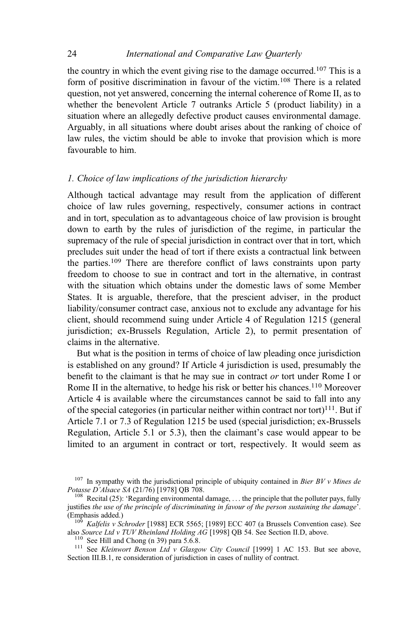the country in which the event giving rise to the damage occurred.107 This is a form of positive discrimination in favour of the victim.<sup>108</sup> There is a related question, not yet answered, concerning the internal coherence of Rome II, as to whether the benevolent Article 7 outranks Article 5 (product liability) in a situation where an allegedly defective product causes environmental damage. Arguably, in all situations where doubt arises about the ranking of choice of law rules, the victim should be able to invoke that provision which is more favourable to him.

## 1. Choice of law implications of the jurisdiction hierarchy

Although tactical advantage may result from the application of different choice of law rules governing, respectively, consumer actions in contract and in tort, speculation as to advantageous choice of law provision is brought down to earth by the rules of jurisdiction of the regime, in particular the supremacy of the rule of special jurisdiction in contract over that in tort, which precludes suit under the head of tort if there exists a contractual link between the parties.<sup>109</sup> There are therefore conflict of laws constraints upon party freedom to choose to sue in contract and tort in the alternative, in contrast with the situation which obtains under the domestic laws of some Member States. It is arguable, therefore, that the prescient adviser, in the product liability/consumer contract case, anxious not to exclude any advantage for his client, should recommend suing under Article 4 of Regulation 1215 (general jurisdiction; ex-Brussels Regulation, Article 2), to permit presentation of claims in the alternative.

But what is the position in terms of choice of law pleading once jurisdiction is established on any ground? If Article 4 jurisdiction is used, presumably the benefit to the claimant is that he may sue in contract or tort under Rome I or Rome II in the alternative, to hedge his risk or better his chances.<sup>110</sup> Moreover Article 4 is available where the circumstances cannot be said to fall into any of the special categories (in particular neither within contract nor tort)<sup>111</sup>. But if Article 7.1 or 7.3 of Regulation 1215 be used (special jurisdiction; ex-Brussels Regulation, Article 5.1 or 5.3), then the claimant's case would appear to be limited to an argument in contract or tort, respectively. It would seem as

<sup>&</sup>lt;sup>107</sup> In sympathy with the jurisdictional principle of ubiquity contained in *Bier BV v Mines de* Potasse D'Alsace SA (21/76) [1978] QB 708.<br><sup>108</sup> Recital (25): 'Regarding environmental damage, ... the principle that the polluter pays, fully

justifies the use of the principle of discriminating in favour of the person sustaining the damage<sup>7</sup>.<br>(Emphasis added.)

<sup>&</sup>lt;sup>109</sup> Kalfelis v Schroder [1988] ECR 5565; [1989] ECC 407 (a Brussels Convention case). See also Source Ltd v TUV Rheinland Holding AG [1998] QB 54. See Section II.D, above.

<sup>&</sup>lt;sup>110</sup> See Hill and Chong (n 39) para 5.6.8.<br><sup>111</sup> See *Kleinwort Benson Ltd v Glasgow City Council* [1999] 1 AC 153. But see above, Section III.B.1, re consideration of jurisdiction in cases of nullity of contract.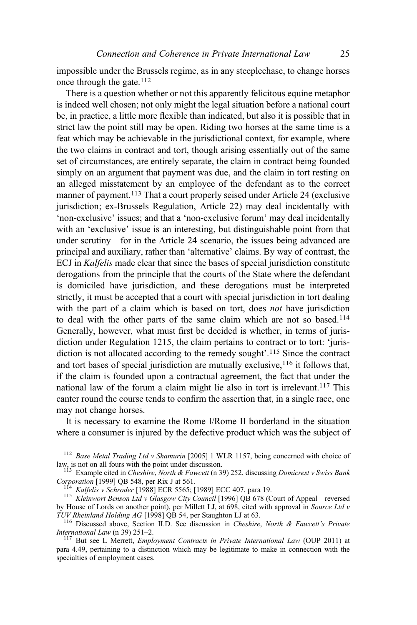impossible under the Brussels regime, as in any steeplechase, to change horses once through the gate.<sup>112</sup>

There is a question whether or not this apparently felicitous equine metaphor is indeed well chosen; not only might the legal situation before a national court be, in practice, a little more flexible than indicated, but also it is possible that in strict law the point still may be open. Riding two horses at the same time is a feat which may be achievable in the jurisdictional context, for example, where the two claims in contract and tort, though arising essentially out of the same set of circumstances, are entirely separate, the claim in contract being founded simply on an argument that payment was due, and the claim in tort resting on an alleged misstatement by an employee of the defendant as to the correct manner of payment.<sup>113</sup> That a court properly seised under Article 24 (exclusive jurisdiction; ex-Brussels Regulation, Article 22) may deal incidentally with 'non-exclusive' issues; and that a 'non-exclusive forum' may deal incidentally with an 'exclusive' issue is an interesting, but distinguishable point from that under scrutiny—for in the Article 24 scenario, the issues being advanced are principal and auxiliary, rather than 'alternative' claims. By way of contrast, the ECJ in Kalfelis made clear that since the bases of special jurisdiction constitute derogations from the principle that the courts of the State where the defendant is domiciled have jurisdiction, and these derogations must be interpreted strictly, it must be accepted that a court with special jurisdiction in tort dealing with the part of a claim which is based on tort, does *not* have jurisdiction to deal with the other parts of the same claim which are not so based.<sup>114</sup> Generally, however, what must first be decided is whether, in terms of jurisdiction under Regulation 1215, the claim pertains to contract or to tort: 'jurisdiction is not allocated according to the remedy sought'. <sup>115</sup> Since the contract and tort bases of special jurisdiction are mutually exclusive,  $116$  it follows that, if the claim is founded upon a contractual agreement, the fact that under the national law of the forum a claim might lie also in tort is irrelevant.<sup>117</sup> This canter round the course tends to confirm the assertion that, in a single race, one may not change horses.

It is necessary to examine the Rome I/Rome II borderland in the situation where a consumer is injured by the defective product which was the subject of

<sup>112</sup> Base Metal Trading Ltd v Shamurin [2005] 1 WLR 1157, being concerned with choice of law, is not on all fours with the point under discussion.

 $1^{13}$  Example cited in Cheshire, North & Fawcett (n 39) 252, discussing Domicrest v Swiss Bank Corporation [1999] QB 548, per Rix J at 561.<br><sup>114</sup> Kalfelis v Schroder [1988] ECR 5565; [1989] ECC 407, para 19.<br><sup>115</sup> Kleinwort Benson Ltd v Glasgow City Council [1996] QB 678 (Court of Appeal—reversed

by House of Lords on another point), per Millett LJ, at 698, cited with approval in Source Ltd v TUV Rheinland Holding AG [1998] QB 54, per Staughton LJ at 63.

<sup>116</sup> Discussed above, Section II.D. See discussion in *Cheshire*, *North & Fawcett's Private International Law* (n 39) 251–2.

<sup>117</sup> But see L Merrett, *Employment Contracts in Private International Law* (OUP 2011) at para 4.49, pertaining to a distinction which may be legitimate to make in connection with the specialties of employment cases.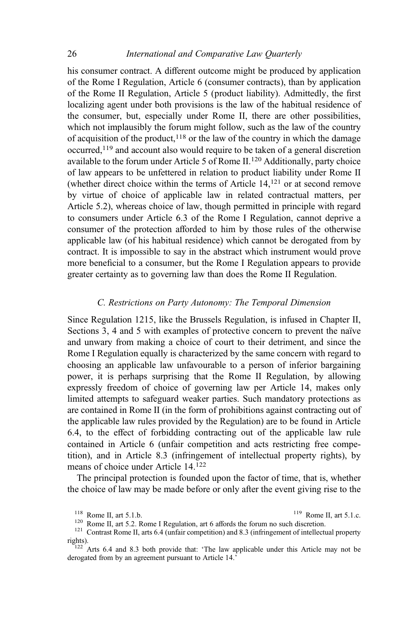his consumer contract. A different outcome might be produced by application of the Rome I Regulation, Article 6 (consumer contracts), than by application of the Rome II Regulation, Article 5 (product liability). Admittedly, the first localizing agent under both provisions is the law of the habitual residence of the consumer, but, especially under Rome II, there are other possibilities, which not implausibly the forum might follow, such as the law of the country of acquisition of the product,  $118$  or the law of the country in which the damage occurred,119 and account also would require to be taken of a general discretion available to the forum under Article 5 of Rome II.<sup>120</sup> Additionally, party choice of law appears to be unfettered in relation to product liability under Rome II (whether direct choice within the terms of Article 14,121 or at second remove by virtue of choice of applicable law in related contractual matters, per Article 5.2), whereas choice of law, though permitted in principle with regard to consumers under Article 6.3 of the Rome I Regulation, cannot deprive a consumer of the protection afforded to him by those rules of the otherwise applicable law (of his habitual residence) which cannot be derogated from by contract. It is impossible to say in the abstract which instrument would prove more beneficial to a consumer, but the Rome I Regulation appears to provide greater certainty as to governing law than does the Rome II Regulation.

### C. Restrictions on Party Autonomy: The Temporal Dimension

Since Regulation 1215, like the Brussels Regulation, is infused in Chapter II, Sections 3, 4 and 5 with examples of protective concern to prevent the naïve and unwary from making a choice of court to their detriment, and since the Rome I Regulation equally is characterized by the same concern with regard to choosing an applicable law unfavourable to a person of inferior bargaining power, it is perhaps surprising that the Rome II Regulation, by allowing expressly freedom of choice of governing law per Article 14, makes only limited attempts to safeguard weaker parties. Such mandatory protections as are contained in Rome II (in the form of prohibitions against contracting out of the applicable law rules provided by the Regulation) are to be found in Article 6.4, to the effect of forbidding contracting out of the applicable law rule contained in Article 6 (unfair competition and acts restricting free competition), and in Article 8.3 (infringement of intellectual property rights), by means of choice under Article 14.<sup>122</sup>

The principal protection is founded upon the factor of time, that is, whether the choice of law may be made before or only after the event giving rise to the

<sup>&</sup>lt;sup>118</sup> Rome II, art 5.1.b.<br><sup>120</sup> Rome II, art 5.2. Rome I Regulation, art 6 affords the forum no such discretion.<br><sup>121</sup> Contrast Rome II, arts 6.4 (unfair competition) and 8.3 (infringement of intellectual property rights). <sup>122</sup> Arts 6.4 and 8.3 both provide that: 'The law applicable under this Article may not be

derogated from by an agreement pursuant to Article 14.'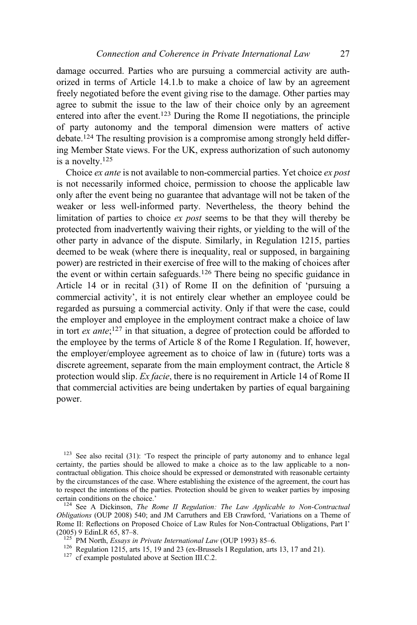damage occurred. Parties who are pursuing a commercial activity are authorized in terms of Article 14.1.b to make a choice of law by an agreement freely negotiated before the event giving rise to the damage. Other parties may agree to submit the issue to the law of their choice only by an agreement entered into after the event.123 During the Rome II negotiations, the principle of party autonomy and the temporal dimension were matters of active debate.124 The resulting provision is a compromise among strongly held differing Member State views. For the UK, express authorization of such autonomy is a novelty.125

Choice ex ante is not available to non-commercial parties. Yet choice ex post is not necessarily informed choice, permission to choose the applicable law only after the event being no guarantee that advantage will not be taken of the weaker or less well-informed party. Nevertheless, the theory behind the limitation of parties to choice *ex post* seems to be that they will thereby be protected from inadvertently waiving their rights, or yielding to the will of the other party in advance of the dispute. Similarly, in Regulation 1215, parties deemed to be weak (where there is inequality, real or supposed, in bargaining power) are restricted in their exercise of free will to the making of choices after the event or within certain safeguards.126 There being no specific guidance in Article 14 or in recital (31) of Rome II on the definition of 'pursuing a commercial activity', it is not entirely clear whether an employee could be regarded as pursuing a commercial activity. Only if that were the case, could the employer and employee in the employment contract make a choice of law in tort ex ante; <sup>127</sup> in that situation, a degree of protection could be afforded to the employee by the terms of Article 8 of the Rome I Regulation. If, however, the employer/employee agreement as to choice of law in (future) torts was a discrete agreement, separate from the main employment contract, the Article 8 protection would slip. Ex facie, there is no requirement in Article 14 of Rome II that commercial activities are being undertaken by parties of equal bargaining power.

 $123$  See also recital (31): 'To respect the principle of party autonomy and to enhance legal certainty, the parties should be allowed to make a choice as to the law applicable to a noncontractual obligation. This choice should be expressed or demonstrated with reasonable certainty by the circumstances of the case. Where establishing the existence of the agreement, the court has to respect the intentions of the parties. Protection should be given to weaker parties by imposing certain conditions on the choice.'

 $124$  See A Dickinson, The Rome II Regulation: The Law Applicable to Non-Contractual Obligations (OUP 2008) 540; and JM Carruthers and EB Crawford, 'Variations on a Theme of Rome II: Reflections on Proposed Choice of Law Rules for Non-Contractual Obligations, Part I' (2005) 9 EdinLR 65, 87-8.

<sup>125</sup> PM North, *Essays in Private International Law* (OUP 1993) 85–6.<br><sup>126</sup> Regulation 1215, arts 15, 19 and 23 (ex-Brussels I Regulation, arts 13, 17 and 21).<br><sup>127</sup> cf example postulated above at Section III.C.2.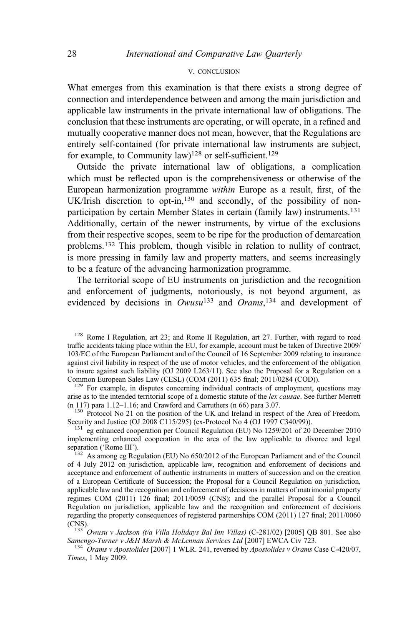#### V. CONCLUSION

What emerges from this examination is that there exists a strong degree of connection and interdependence between and among the main jurisdiction and applicable law instruments in the private international law of obligations. The conclusion that these instruments are operating, or will operate, in a refined and mutually cooperative manner does not mean, however, that the Regulations are entirely self-contained (for private international law instruments are subject, for example, to Community law)<sup>128</sup> or self-sufficient.<sup>129</sup>

Outside the private international law of obligations, a complication which must be reflected upon is the comprehensiveness or otherwise of the European harmonization programme within Europe as a result, first, of the UK/Irish discretion to opt-in,<sup>130</sup> and secondly, of the possibility of nonparticipation by certain Member States in certain (family law) instruments.131 Additionally, certain of the newer instruments, by virtue of the exclusions from their respective scopes, seem to be ripe for the production of demarcation problems.<sup>132</sup> This problem, though visible in relation to nullity of contract, is more pressing in family law and property matters, and seems increasingly to be a feature of the advancing harmonization programme.

The territorial scope of EU instruments on jurisdiction and the recognition and enforcement of judgments, notoriously, is not beyond argument, as evidenced by decisions in  $Owusu^{133}$  and  $Orams$ ,  $134$  and development of

 $^{129}$  For example, in disputes concerning individual contracts of employment, questions may arise as to the intended territorial scope of a domestic statute of the *lex causae*. See further Merrett (n 117) para  $1.12-1.16$ ; and Crawford and Carruthers (n 66) para  $3.07$ .

 $^{130}$  Protocol No 21 on the position of the UK and Ireland in respect of the Area of Freedom, Security and Justice (OJ 2008 C115/295) (ex-Protocol No 4 (OJ 1997 C340/99)).

 $^{131}$  eg enhanced cooperation per Council Regulation (EU) No 1259/201 of 20 December 2010 implementing enhanced cooperation in the area of the law applicable to divorce and legal

 $\frac{132}{132}$  As among eg Regulation (EU) No 650/2012 of the European Parliament and of the Council of 4 July 2012 on jurisdiction, applicable law, recognition and enforcement of decisions and acceptance and enforcement of authentic instruments in matters of succession and on the creation of a European Certificate of Succession; the Proposal for a Council Regulation on jurisdiction, applicable law and the recognition and enforcement of decisions in matters of matrimonial property regimes COM (2011) 126 final; 2011/0059 (CNS); and the parallel Proposal for a Council Regulation on jurisdiction, applicable law and the recognition and enforcement of decisions regarding the property consequences of registered partnerships COM (2011) 127 final; 2011/0060

(CNS).<br><sup>133</sup> Owusu v Jackson (t/a Villa Holidays Bal Inn Villas) (C-281/02) [2005] QB 801. See also<br>Samengo-Turner v J&H Marsh & McLennan Services Ltd [2007] EWCA Civ 723.

 $^{134}$  Orams v Apostolides [2007] 1 WLR. 241, reversed by Apostolides v Orams Case C-420/07, Times, 1 May 2009.

<sup>&</sup>lt;sup>128</sup> Rome I Regulation, art 23; and Rome II Regulation, art 27. Further, with regard to road traffic accidents taking place within the EU, for example, account must be taken of Directive 2009/ 103/EC of the European Parliament and of the Council of 16 September 2009 relating to insurance against civil liability in respect of the use of motor vehicles, and the enforcement of the obligation to insure against such liability (OJ 2009 L263/11). See also the Proposal for a Regulation on a Common European Sales Law (CESL) (COM (2011) 635 final; 2011/0284 (COD)).